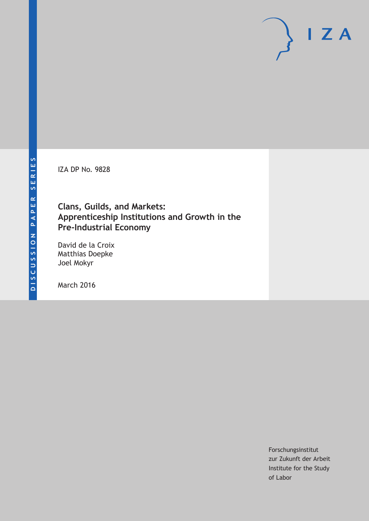IZA DP No. 9828

# **Clans, Guilds, and Markets: Apprenticeship Institutions and Growth in the Pre-Industrial Economy**

David de la Croix Matthias Doepke Joel Mokyr

March 2016

Forschungsinstitut zur Zukunft der Arbeit Institute for the Study of Labor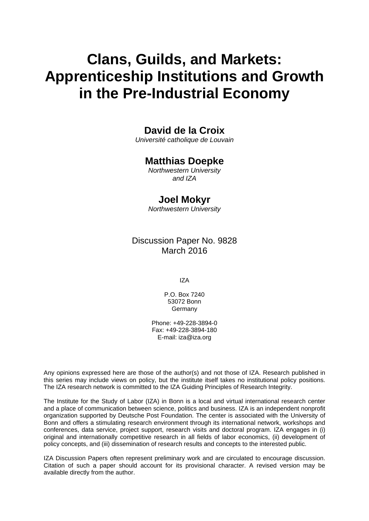# **Clans, Guilds, and Markets: Apprenticeship Institutions and Growth in the Pre-Industrial Economy**

# **David de la Croix**

*Université catholique de Louvain* 

# **Matthias Doepke**

*Northwestern University and IZA* 

# **Joel Mokyr**

*Northwestern University*

Discussion Paper No. 9828 March 2016

IZA

P.O. Box 7240 53072 Bonn Germany

Phone: +49-228-3894-0 Fax: +49-228-3894-180 E-mail: iza@iza.org

Any opinions expressed here are those of the author(s) and not those of IZA. Research published in this series may include views on policy, but the institute itself takes no institutional policy positions. The IZA research network is committed to the IZA Guiding Principles of Research Integrity.

The Institute for the Study of Labor (IZA) in Bonn is a local and virtual international research center and a place of communication between science, politics and business. IZA is an independent nonprofit organization supported by Deutsche Post Foundation. The center is associated with the University of Bonn and offers a stimulating research environment through its international network, workshops and conferences, data service, project support, research visits and doctoral program. IZA engages in (i) original and internationally competitive research in all fields of labor economics, (ii) development of policy concepts, and (iii) dissemination of research results and concepts to the interested public.

IZA Discussion Papers often represent preliminary work and are circulated to encourage discussion. Citation of such a paper should account for its provisional character. A revised version may be available directly from the author.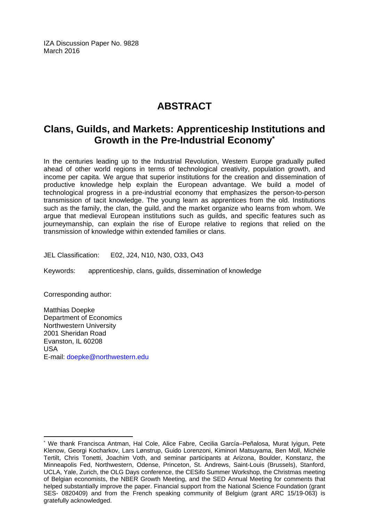IZA Discussion Paper No. 9828 March 2016

# **ABSTRACT**

# **Clans, Guilds, and Markets: Apprenticeship Institutions and Growth in the Pre-Industrial Economy\***

In the centuries leading up to the Industrial Revolution, Western Europe gradually pulled ahead of other world regions in terms of technological creativity, population growth, and income per capita. We argue that superior institutions for the creation and dissemination of productive knowledge help explain the European advantage. We build a model of technological progress in a pre-industrial economy that emphasizes the person-to-person transmission of tacit knowledge. The young learn as apprentices from the old. Institutions such as the family, the clan, the guild, and the market organize who learns from whom. We argue that medieval European institutions such as guilds, and specific features such as journeymanship, can explain the rise of Europe relative to regions that relied on the transmission of knowledge within extended families or clans.

JEL Classification: E02, J24, N10, N30, O33, O43

Keywords: apprenticeship, clans, guilds, dissemination of knowledge

Corresponding author:

 $\overline{a}$ 

Matthias Doepke Department of Economics Northwestern University 2001 Sheridan Road Evanston, IL 60208 USA E-mail: doepke@northwestern.edu

<sup>\*</sup> We thank Francisca Antman, Hal Cole, Alice Fabre, Cecilia García–Peñalosa, Murat Iyigun, Pete Klenow, Georgi Kocharkov, Lars Lønstrup, Guido Lorenzoni, Kiminori Matsuyama, Ben Moll, Michèle Tertilt, Chris Tonetti, Joachim Voth, and seminar participants at Arizona, Boulder, Konstanz, the Minneapolis Fed, Northwestern, Odense, Princeton, St. Andrews, Saint-Louis (Brussels), Stanford, UCLA, Yale, Zurich, the OLG Days conference, the CESifo Summer Workshop, the Christmas meeting of Belgian economists, the NBER Growth Meeting, and the SED Annual Meeting for comments that helped substantially improve the paper. Financial support from the National Science Foundation (grant SES- 0820409) and from the French speaking community of Belgium (grant ARC 15/19-063) is gratefully acknowledged.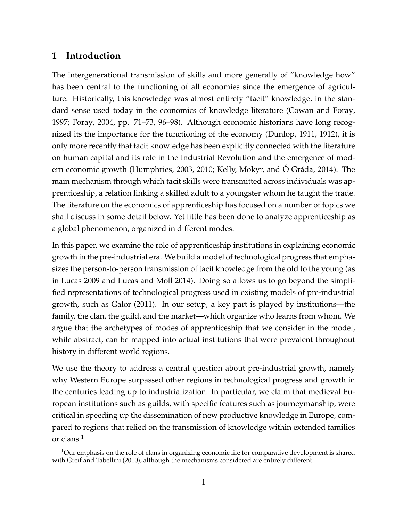# **1 Introduction**

The intergenerational transmission of skills and more generally of "knowledge how" has been central to the functioning of all economies since the emergence of agriculture. Historically, this knowledge was almost entirely "tacit" knowledge, in the standard sense used today in the economics of knowledge literature (Cowan and Foray, 1997; Foray, 2004, pp. 71–73, 96–98). Although economic historians have long recognized its the importance for the functioning of the economy (Dunlop, 1911, 1912), it is only more recently that tacit knowledge has been explicitly connected with the literature on human capital and its role in the Industrial Revolution and the emergence of modern economic growth (Humphries, 2003, 2010; Kelly, Mokyr, and Ó Gráda, 2014). The main mechanism through which tacit skills were transmitted across individuals was apprenticeship, a relation linking a skilled adult to a youngster whom he taught the trade. The literature on the economics of apprenticeship has focused on a number of topics we shall discuss in some detail below. Yet little has been done to analyze apprenticeship as a global phenomenon, organized in different modes.

In this paper, we examine the role of apprenticeship institutions in explaining economic growth in the pre-industrial era. We build a model of technological progress that emphasizes the person-to-person transmission of tacit knowledge from the old to the young (as in Lucas 2009 and Lucas and Moll 2014). Doing so allows us to go beyond the simplified representations of technological progress used in existing models of pre-industrial growth, such as Galor (2011). In our setup, a key part is played by institutions—the family, the clan, the guild, and the market—which organize who learns from whom. We argue that the archetypes of modes of apprenticeship that we consider in the model, while abstract, can be mapped into actual institutions that were prevalent throughout history in different world regions.

We use the theory to address a central question about pre-industrial growth, namely why Western Europe surpassed other regions in technological progress and growth in the centuries leading up to industrialization. In particular, we claim that medieval European institutions such as guilds, with specific features such as journeymanship, were critical in speeding up the dissemination of new productive knowledge in Europe, compared to regions that relied on the transmission of knowledge within extended families or clans.<sup>1</sup>

 $1$ Our emphasis on the role of clans in organizing economic life for comparative development is shared with Greif and Tabellini (2010), although the mechanisms considered are entirely different.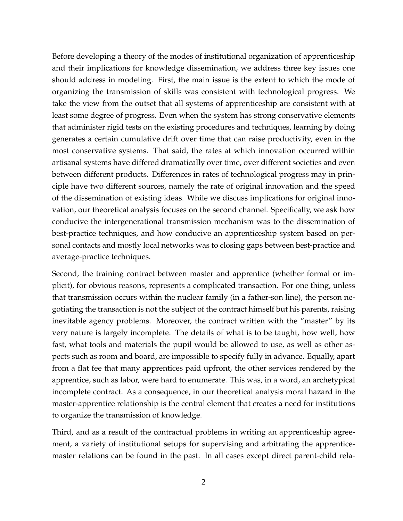Before developing a theory of the modes of institutional organization of apprenticeship and their implications for knowledge dissemination, we address three key issues one should address in modeling. First, the main issue is the extent to which the mode of organizing the transmission of skills was consistent with technological progress. We take the view from the outset that all systems of apprenticeship are consistent with at least some degree of progress. Even when the system has strong conservative elements that administer rigid tests on the existing procedures and techniques, learning by doing generates a certain cumulative drift over time that can raise productivity, even in the most conservative systems. That said, the rates at which innovation occurred within artisanal systems have differed dramatically over time, over different societies and even between different products. Differences in rates of technological progress may in principle have two different sources, namely the rate of original innovation and the speed of the dissemination of existing ideas. While we discuss implications for original innovation, our theoretical analysis focuses on the second channel. Specifically, we ask how conducive the intergenerational transmission mechanism was to the dissemination of best-practice techniques, and how conducive an apprenticeship system based on personal contacts and mostly local networks was to closing gaps between best-practice and average-practice techniques.

Second, the training contract between master and apprentice (whether formal or implicit), for obvious reasons, represents a complicated transaction. For one thing, unless that transmission occurs within the nuclear family (in a father-son line), the person negotiating the transaction is not the subject of the contract himself but his parents, raising inevitable agency problems. Moreover, the contract written with the "master" by its very nature is largely incomplete. The details of what is to be taught, how well, how fast, what tools and materials the pupil would be allowed to use, as well as other aspects such as room and board, are impossible to specify fully in advance. Equally, apart from a flat fee that many apprentices paid upfront, the other services rendered by the apprentice, such as labor, were hard to enumerate. This was, in a word, an archetypical incomplete contract. As a consequence, in our theoretical analysis moral hazard in the master-apprentice relationship is the central element that creates a need for institutions to organize the transmission of knowledge.

Third, and as a result of the contractual problems in writing an apprenticeship agreement, a variety of institutional setups for supervising and arbitrating the apprenticemaster relations can be found in the past. In all cases except direct parent-child rela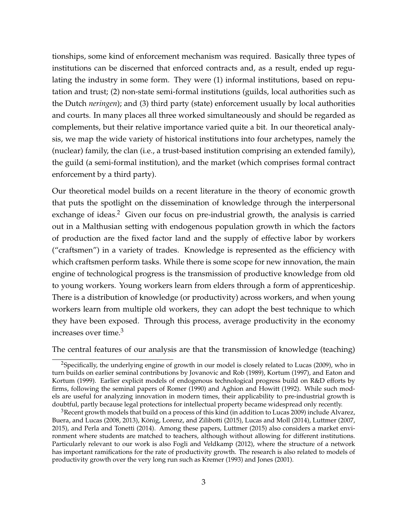tionships, some kind of enforcement mechanism was required. Basically three types of institutions can be discerned that enforced contracts and, as a result, ended up regulating the industry in some form. They were (1) informal institutions, based on reputation and trust; (2) non-state semi-formal institutions (guilds, local authorities such as the Dutch *neringen*); and (3) third party (state) enforcement usually by local authorities and courts. In many places all three worked simultaneously and should be regarded as complements, but their relative importance varied quite a bit. In our theoretical analysis, we map the wide variety of historical institutions into four archetypes, namely the (nuclear) family, the clan (i.e., a trust-based institution comprising an extended family), the guild (a semi-formal institution), and the market (which comprises formal contract enforcement by a third party).

Our theoretical model builds on a recent literature in the theory of economic growth that puts the spotlight on the dissemination of knowledge through the interpersonal exchange of ideas.<sup>2</sup> Given our focus on pre-industrial growth, the analysis is carried out in a Malthusian setting with endogenous population growth in which the factors of production are the fixed factor land and the supply of effective labor by workers ("craftsmen") in a variety of trades. Knowledge is represented as the efficiency with which craftsmen perform tasks. While there is some scope for new innovation, the main engine of technological progress is the transmission of productive knowledge from old to young workers. Young workers learn from elders through a form of apprenticeship. There is a distribution of knowledge (or productivity) across workers, and when young workers learn from multiple old workers, they can adopt the best technique to which they have been exposed. Through this process, average productivity in the economy increases over time.<sup>3</sup>

The central features of our analysis are that the transmission of knowledge (teaching)

<sup>&</sup>lt;sup>2</sup>Specifically, the underlying engine of growth in our model is closely related to Lucas (2009), who in turn builds on earlier seminal contributions by Jovanovic and Rob (1989), Kortum (1997), and Eaton and Kortum (1999). Earlier explicit models of endogenous technological progress build on R&D efforts by firms, following the seminal papers of Romer (1990) and Aghion and Howitt (1992). While such models are useful for analyzing innovation in modern times, their applicability to pre-industrial growth is doubtful, partly because legal protections for intellectual property became widespread only recently.

 $3R$  Recent growth models that build on a process of this kind (in addition to Lucas 2009) include Alvarez, Buera, and Lucas (2008, 2013), König, Lorenz, and Zilibotti (2015), Lucas and Moll (2014), Luttmer (2007, 2015), and Perla and Tonetti (2014). Among these papers, Luttmer (2015) also considers a market environment where students are matched to teachers, although without allowing for different institutions. Particularly relevant to our work is also Fogli and Veldkamp (2012), where the structure of a network has important ramifications for the rate of productivity growth. The research is also related to models of productivity growth over the very long run such as Kremer (1993) and Jones (2001).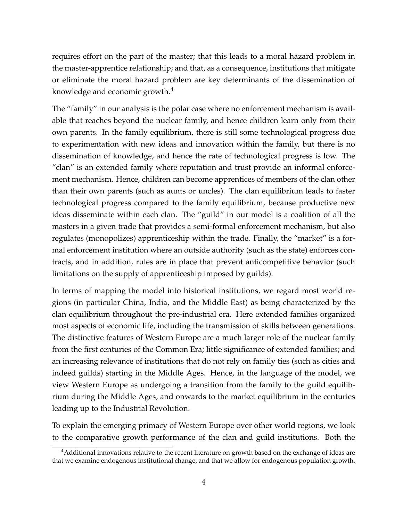requires effort on the part of the master; that this leads to a moral hazard problem in the master-apprentice relationship; and that, as a consequence, institutions that mitigate or eliminate the moral hazard problem are key determinants of the dissemination of knowledge and economic growth.<sup>4</sup>

The "family" in our analysis is the polar case where no enforcement mechanism is available that reaches beyond the nuclear family, and hence children learn only from their own parents. In the family equilibrium, there is still some technological progress due to experimentation with new ideas and innovation within the family, but there is no dissemination of knowledge, and hence the rate of technological progress is low. The "clan" is an extended family where reputation and trust provide an informal enforcement mechanism. Hence, children can become apprentices of members of the clan other than their own parents (such as aunts or uncles). The clan equilibrium leads to faster technological progress compared to the family equilibrium, because productive new ideas disseminate within each clan. The "guild" in our model is a coalition of all the masters in a given trade that provides a semi-formal enforcement mechanism, but also regulates (monopolizes) apprenticeship within the trade. Finally, the "market" is a formal enforcement institution where an outside authority (such as the state) enforces contracts, and in addition, rules are in place that prevent anticompetitive behavior (such limitations on the supply of apprenticeship imposed by guilds).

In terms of mapping the model into historical institutions, we regard most world regions (in particular China, India, and the Middle East) as being characterized by the clan equilibrium throughout the pre-industrial era. Here extended families organized most aspects of economic life, including the transmission of skills between generations. The distinctive features of Western Europe are a much larger role of the nuclear family from the first centuries of the Common Era; little significance of extended families; and an increasing relevance of institutions that do not rely on family ties (such as cities and indeed guilds) starting in the Middle Ages. Hence, in the language of the model, we view Western Europe as undergoing a transition from the family to the guild equilibrium during the Middle Ages, and onwards to the market equilibrium in the centuries leading up to the Industrial Revolution.

To explain the emerging primacy of Western Europe over other world regions, we look to the comparative growth performance of the clan and guild institutions. Both the

<sup>&</sup>lt;sup>4</sup>Additional innovations relative to the recent literature on growth based on the exchange of ideas are that we examine endogenous institutional change, and that we allow for endogenous population growth.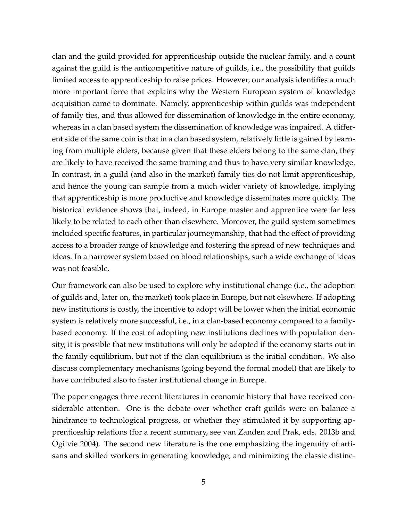clan and the guild provided for apprenticeship outside the nuclear family, and a count against the guild is the anticompetitive nature of guilds, i.e., the possibility that guilds limited access to apprenticeship to raise prices. However, our analysis identifies a much more important force that explains why the Western European system of knowledge acquisition came to dominate. Namely, apprenticeship within guilds was independent of family ties, and thus allowed for dissemination of knowledge in the entire economy, whereas in a clan based system the dissemination of knowledge was impaired. A different side of the same coin is that in a clan based system, relatively little is gained by learning from multiple elders, because given that these elders belong to the same clan, they are likely to have received the same training and thus to have very similar knowledge. In contrast, in a guild (and also in the market) family ties do not limit apprenticeship, and hence the young can sample from a much wider variety of knowledge, implying that apprenticeship is more productive and knowledge disseminates more quickly. The historical evidence shows that, indeed, in Europe master and apprentice were far less likely to be related to each other than elsewhere. Moreover, the guild system sometimes included specific features, in particular journeymanship, that had the effect of providing access to a broader range of knowledge and fostering the spread of new techniques and ideas. In a narrower system based on blood relationships, such a wide exchange of ideas was not feasible.

Our framework can also be used to explore why institutional change (i.e., the adoption of guilds and, later on, the market) took place in Europe, but not elsewhere. If adopting new institutions is costly, the incentive to adopt will be lower when the initial economic system is relatively more successful, i.e., in a clan-based economy compared to a familybased economy. If the cost of adopting new institutions declines with population density, it is possible that new institutions will only be adopted if the economy starts out in the family equilibrium, but not if the clan equilibrium is the initial condition. We also discuss complementary mechanisms (going beyond the formal model) that are likely to have contributed also to faster institutional change in Europe.

The paper engages three recent literatures in economic history that have received considerable attention. One is the debate over whether craft guilds were on balance a hindrance to technological progress, or whether they stimulated it by supporting apprenticeship relations (for a recent summary, see van Zanden and Prak, eds. 2013b and Ogilvie 2004). The second new literature is the one emphasizing the ingenuity of artisans and skilled workers in generating knowledge, and minimizing the classic distinc-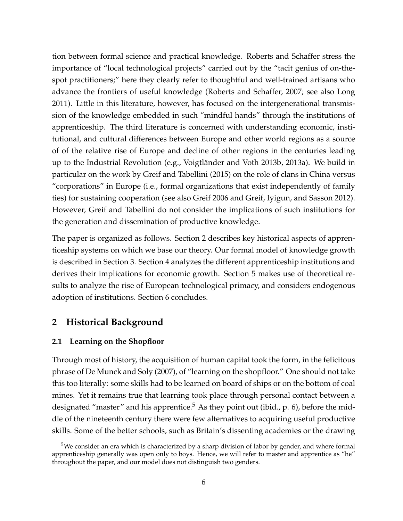tion between formal science and practical knowledge. Roberts and Schaffer stress the importance of "local technological projects" carried out by the "tacit genius of on-thespot practitioners;" here they clearly refer to thoughtful and well-trained artisans who advance the frontiers of useful knowledge (Roberts and Schaffer, 2007; see also Long 2011). Little in this literature, however, has focused on the intergenerational transmission of the knowledge embedded in such "mindful hands" through the institutions of apprenticeship. The third literature is concerned with understanding economic, institutional, and cultural differences between Europe and other world regions as a source of of the relative rise of Europe and decline of other regions in the centuries leading up to the Industrial Revolution (e.g., Voigtländer and Voth 2013b, 2013a). We build in particular on the work by Greif and Tabellini (2015) on the role of clans in China versus "corporations" in Europe (i.e., formal organizations that exist independently of family ties) for sustaining cooperation (see also Greif 2006 and Greif, Iyigun, and Sasson 2012). However, Greif and Tabellini do not consider the implications of such institutions for the generation and dissemination of productive knowledge.

The paper is organized as follows. Section 2 describes key historical aspects of apprenticeship systems on which we base our theory. Our formal model of knowledge growth is described in Section 3. Section 4 analyzes the different apprenticeship institutions and derives their implications for economic growth. Section 5 makes use of theoretical results to analyze the rise of European technological primacy, and considers endogenous adoption of institutions. Section 6 concludes.

# **2 Historical Background**

# **2.1 Learning on the Shopfloor**

Through most of history, the acquisition of human capital took the form, in the felicitous phrase of De Munck and Soly (2007), of "learning on the shopfloor." One should not take this too literally: some skills had to be learned on board of ships or on the bottom of coal mines. Yet it remains true that learning took place through personal contact between a designated "master" and his apprentice.<sup>5</sup> As they point out (ibid., p. 6), before the middle of the nineteenth century there were few alternatives to acquiring useful productive skills. Some of the better schools, such as Britain's dissenting academies or the drawing

<sup>&</sup>lt;sup>5</sup>We consider an era which is characterized by a sharp division of labor by gender, and where formal apprenticeship generally was open only to boys. Hence, we will refer to master and apprentice as "he" throughout the paper, and our model does not distinguish two genders.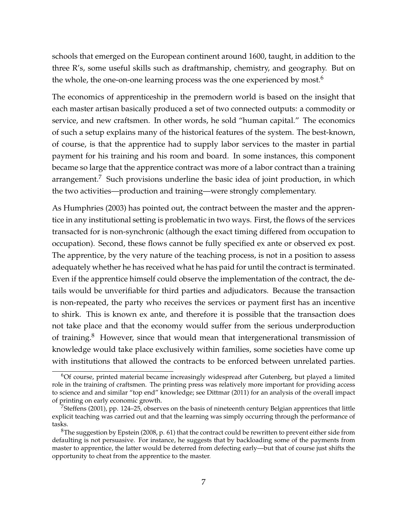schools that emerged on the European continent around 1600, taught, in addition to the three R's, some useful skills such as draftmanship, chemistry, and geography. But on the whole, the one-on-one learning process was the one experienced by most.<sup>6</sup>

The economics of apprenticeship in the premodern world is based on the insight that each master artisan basically produced a set of two connected outputs: a commodity or service, and new craftsmen. In other words, he sold "human capital." The economics of such a setup explains many of the historical features of the system. The best-known, of course, is that the apprentice had to supply labor services to the master in partial payment for his training and his room and board. In some instances, this component became so large that the apprentice contract was more of a labor contract than a training arrangement.<sup>7</sup> Such provisions underline the basic idea of joint production, in which the two activities—production and training—were strongly complementary.

As Humphries (2003) has pointed out, the contract between the master and the apprentice in any institutional setting is problematic in two ways. First, the flows of the services transacted for is non-synchronic (although the exact timing differed from occupation to occupation). Second, these flows cannot be fully specified ex ante or observed ex post. The apprentice, by the very nature of the teaching process, is not in a position to assess adequately whether he has received what he has paid for until the contract is terminated. Even if the apprentice himself could observe the implementation of the contract, the details would be unverifiable for third parties and adjudicators. Because the transaction is non-repeated, the party who receives the services or payment first has an incentive to shirk. This is known ex ante, and therefore it is possible that the transaction does not take place and that the economy would suffer from the serious underproduction of training.<sup>8</sup> However, since that would mean that intergenerational transmission of knowledge would take place exclusively within families, some societies have come up with institutions that allowed the contracts to be enforced between unrelated parties.

<sup>6</sup>Of course, printed material became increasingly widespread after Gutenberg, but played a limited role in the training of craftsmen. The printing press was relatively more important for providing access to science and and similar "top end" knowledge; see Dittmar (2011) for an analysis of the overall impact of printing on early economic growth.

<sup>&</sup>lt;sup>7</sup>Steffens (2001), pp. 124–25, observes on the basis of nineteenth century Belgian apprentices that little explicit teaching was carried out and that the learning was simply occurring through the performance of tasks.

<sup>&</sup>lt;sup>8</sup>The suggestion by Epstein (2008, p. 61) that the contract could be rewritten to prevent either side from defaulting is not persuasive. For instance, he suggests that by backloading some of the payments from master to apprentice, the latter would be deterred from defecting early—but that of course just shifts the opportunity to cheat from the apprentice to the master.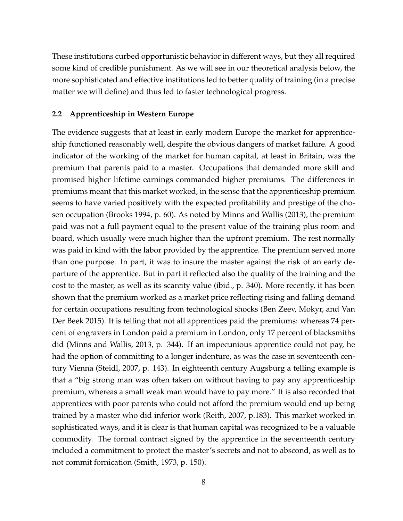These institutions curbed opportunistic behavior in different ways, but they all required some kind of credible punishment. As we will see in our theoretical analysis below, the more sophisticated and effective institutions led to better quality of training (in a precise matter we will define) and thus led to faster technological progress.

### **2.2 Apprenticeship in Western Europe**

The evidence suggests that at least in early modern Europe the market for apprenticeship functioned reasonably well, despite the obvious dangers of market failure. A good indicator of the working of the market for human capital, at least in Britain, was the premium that parents paid to a master. Occupations that demanded more skill and promised higher lifetime earnings commanded higher premiums. The differences in premiums meant that this market worked, in the sense that the apprenticeship premium seems to have varied positively with the expected profitability and prestige of the chosen occupation (Brooks 1994, p. 60). As noted by Minns and Wallis (2013), the premium paid was not a full payment equal to the present value of the training plus room and board, which usually were much higher than the upfront premium. The rest normally was paid in kind with the labor provided by the apprentice. The premium served more than one purpose. In part, it was to insure the master against the risk of an early departure of the apprentice. But in part it reflected also the quality of the training and the cost to the master, as well as its scarcity value (ibid., p. 340). More recently, it has been shown that the premium worked as a market price reflecting rising and falling demand for certain occupations resulting from technological shocks (Ben Zeev, Mokyr, and Van Der Beek 2015). It is telling that not all apprentices paid the premiums: whereas 74 percent of engravers in London paid a premium in London, only 17 percent of blacksmiths did (Minns and Wallis, 2013, p. 344). If an impecunious apprentice could not pay, he had the option of committing to a longer indenture, as was the case in seventeenth century Vienna (Steidl, 2007, p. 143). In eighteenth century Augsburg a telling example is that a "big strong man was often taken on without having to pay any apprenticeship premium, whereas a small weak man would have to pay more." It is also recorded that apprentices with poor parents who could not afford the premium would end up being trained by a master who did inferior work (Reith, 2007, p.183). This market worked in sophisticated ways, and it is clear is that human capital was recognized to be a valuable commodity. The formal contract signed by the apprentice in the seventeenth century included a commitment to protect the master's secrets and not to abscond, as well as to not commit fornication (Smith, 1973, p. 150).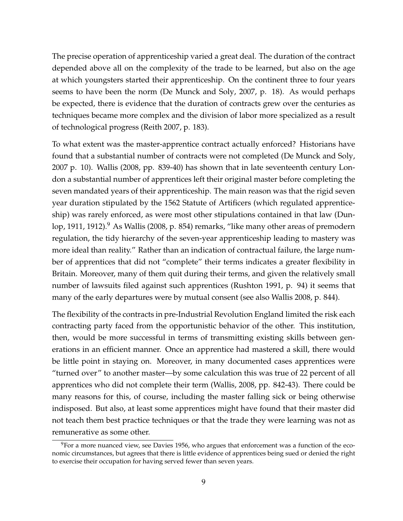The precise operation of apprenticeship varied a great deal. The duration of the contract depended above all on the complexity of the trade to be learned, but also on the age at which youngsters started their apprenticeship. On the continent three to four years seems to have been the norm (De Munck and Soly, 2007, p. 18). As would perhaps be expected, there is evidence that the duration of contracts grew over the centuries as techniques became more complex and the division of labor more specialized as a result of technological progress (Reith 2007, p. 183).

To what extent was the master-apprentice contract actually enforced? Historians have found that a substantial number of contracts were not completed (De Munck and Soly, 2007 p. 10). Wallis (2008, pp. 839-40) has shown that in late seventeenth century London a substantial number of apprentices left their original master before completing the seven mandated years of their apprenticeship. The main reason was that the rigid seven year duration stipulated by the 1562 Statute of Artificers (which regulated apprenticeship) was rarely enforced, as were most other stipulations contained in that law (Dunlop, 1911, 1912). As Wallis (2008, p. 854) remarks, "like many other areas of premodern regulation, the tidy hierarchy of the seven-year apprenticeship leading to mastery was more ideal than reality." Rather than an indication of contractual failure, the large number of apprentices that did not "complete" their terms indicates a greater flexibility in Britain. Moreover, many of them quit during their terms, and given the relatively small number of lawsuits filed against such apprentices (Rushton 1991, p. 94) it seems that many of the early departures were by mutual consent (see also Wallis 2008, p. 844).

The flexibility of the contracts in pre-Industrial Revolution England limited the risk each contracting party faced from the opportunistic behavior of the other. This institution, then, would be more successful in terms of transmitting existing skills between generations in an efficient manner. Once an apprentice had mastered a skill, there would be little point in staying on. Moreover, in many documented cases apprentices were "turned over" to another master—by some calculation this was true of 22 percent of all apprentices who did not complete their term (Wallis, 2008, pp. 842-43). There could be many reasons for this, of course, including the master falling sick or being otherwise indisposed. But also, at least some apprentices might have found that their master did not teach them best practice techniques or that the trade they were learning was not as remunerative as some other.

<sup>&</sup>lt;sup>9</sup>For a more nuanced view, see Davies 1956, who argues that enforcement was a function of the economic circumstances, but agrees that there is little evidence of apprentices being sued or denied the right to exercise their occupation for having served fewer than seven years.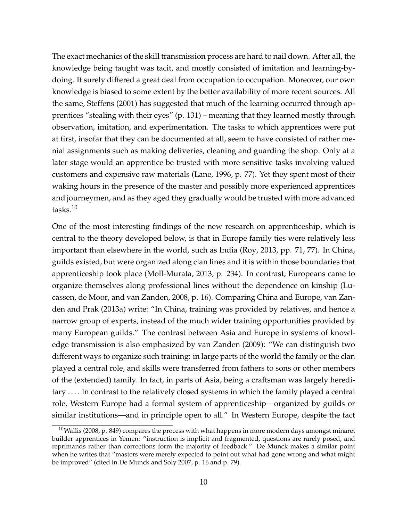The exact mechanics of the skill transmission process are hard to nail down. After all, the knowledge being taught was tacit, and mostly consisted of imitation and learning-bydoing. It surely differed a great deal from occupation to occupation. Moreover, our own knowledge is biased to some extent by the better availability of more recent sources. All the same, Steffens (2001) has suggested that much of the learning occurred through apprentices "stealing with their eyes" (p. 131) – meaning that they learned mostly through observation, imitation, and experimentation. The tasks to which apprentices were put at first, insofar that they can be documented at all, seem to have consisted of rather menial assignments such as making deliveries, cleaning and guarding the shop. Only at a later stage would an apprentice be trusted with more sensitive tasks involving valued customers and expensive raw materials (Lane, 1996, p. 77). Yet they spent most of their waking hours in the presence of the master and possibly more experienced apprentices and journeymen, and as they aged they gradually would be trusted with more advanced tasks.<sup>10</sup>

One of the most interesting findings of the new research on apprenticeship, which is central to the theory developed below, is that in Europe family ties were relatively less important than elsewhere in the world, such as India (Roy, 2013, pp. 71, 77). In China, guilds existed, but were organized along clan lines and it is within those boundaries that apprenticeship took place (Moll-Murata, 2013, p. 234). In contrast, Europeans came to organize themselves along professional lines without the dependence on kinship (Lucassen, de Moor, and van Zanden, 2008, p. 16). Comparing China and Europe, van Zanden and Prak (2013a) write: "In China, training was provided by relatives, and hence a narrow group of experts, instead of the much wider training opportunities provided by many European guilds." The contrast between Asia and Europe in systems of knowledge transmission is also emphasized by van Zanden (2009): "We can distinguish two different ways to organize such training: in large parts of the world the family or the clan played a central role, and skills were transferred from fathers to sons or other members of the (extended) family. In fact, in parts of Asia, being a craftsman was largely hereditary . . . . In contrast to the relatively closed systems in which the family played a central role, Western Europe had a formal system of apprenticeship—organized by guilds or similar institutions—and in principle open to all." In Western Europe, despite the fact

<sup>&</sup>lt;sup>10</sup>Wallis (2008, p. 849) compares the process with what happens in more modern days amongst minaret builder apprentices in Yemen: "instruction is implicit and fragmented, questions are rarely posed, and reprimands rather than corrections form the majority of feedback." De Munck makes a similar point when he writes that "masters were merely expected to point out what had gone wrong and what might be improved" (cited in De Munck and Soly 2007, p. 16 and p. 79).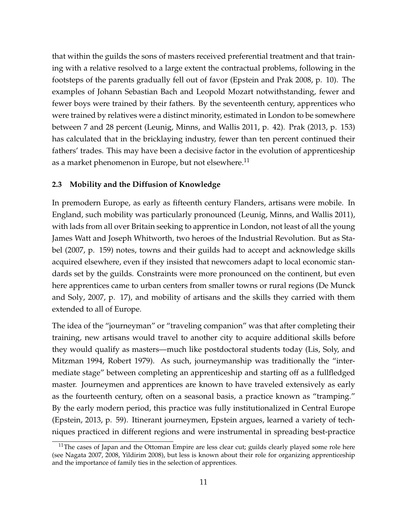that within the guilds the sons of masters received preferential treatment and that training with a relative resolved to a large extent the contractual problems, following in the footsteps of the parents gradually fell out of favor (Epstein and Prak 2008, p. 10). The examples of Johann Sebastian Bach and Leopold Mozart notwithstanding, fewer and fewer boys were trained by their fathers. By the seventeenth century, apprentices who were trained by relatives were a distinct minority, estimated in London to be somewhere between 7 and 28 percent (Leunig, Minns, and Wallis 2011, p. 42). Prak (2013, p. 153) has calculated that in the bricklaying industry, fewer than ten percent continued their fathers' trades. This may have been a decisive factor in the evolution of apprenticeship as a market phenomenon in Europe, but not elsewhere.<sup>11</sup>

# **2.3 Mobility and the Diffusion of Knowledge**

In premodern Europe, as early as fifteenth century Flanders, artisans were mobile. In England, such mobility was particularly pronounced (Leunig, Minns, and Wallis 2011), with lads from all over Britain seeking to apprentice in London, not least of all the young James Watt and Joseph Whitworth, two heroes of the Industrial Revolution. But as Stabel (2007, p. 159) notes, towns and their guilds had to accept and acknowledge skills acquired elsewhere, even if they insisted that newcomers adapt to local economic standards set by the guilds. Constraints were more pronounced on the continent, but even here apprentices came to urban centers from smaller towns or rural regions (De Munck and Soly, 2007, p. 17), and mobility of artisans and the skills they carried with them extended to all of Europe.

The idea of the "journeyman" or "traveling companion" was that after completing their training, new artisans would travel to another city to acquire additional skills before they would qualify as masters—much like postdoctoral students today (Lis, Soly, and Mitzman 1994, Robert 1979). As such, journeymanship was traditionally the "intermediate stage" between completing an apprenticeship and starting off as a fullfledged master. Journeymen and apprentices are known to have traveled extensively as early as the fourteenth century, often on a seasonal basis, a practice known as "tramping." By the early modern period, this practice was fully institutionalized in Central Europe (Epstein, 2013, p. 59). Itinerant journeymen, Epstein argues, learned a variety of techniques practiced in different regions and were instrumental in spreading best-practice

 $11$ The cases of Japan and the Ottoman Empire are less clear cut; guilds clearly played some role here (see Nagata 2007, 2008, Yildirim 2008), but less is known about their role for organizing apprenticeship and the importance of family ties in the selection of apprentices.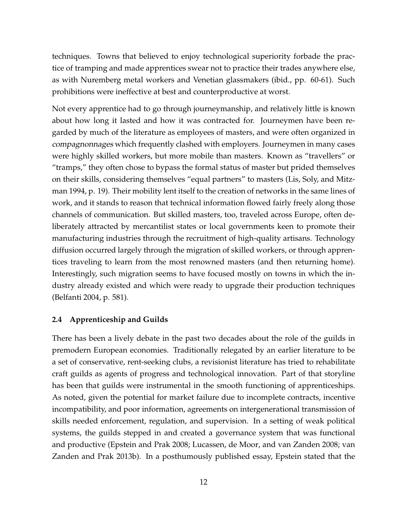techniques. Towns that believed to enjoy technological superiority forbade the practice of tramping and made apprentices swear not to practice their trades anywhere else, as with Nuremberg metal workers and Venetian glassmakers (ibid., pp. 60-61). Such prohibitions were ineffective at best and counterproductive at worst.

Not every apprentice had to go through journeymanship, and relatively little is known about how long it lasted and how it was contracted for. Journeymen have been regarded by much of the literature as employees of masters, and were often organized in compagnonnages which frequently clashed with employers. Journeymen in many cases were highly skilled workers, but more mobile than masters. Known as "travellers" or "tramps," they often chose to bypass the formal status of master but prided themselves on their skills, considering themselves "equal partners" to masters (Lis, Soly, and Mitzman 1994, p. 19). Their mobility lent itself to the creation of networks in the same lines of work, and it stands to reason that technical information flowed fairly freely along those channels of communication. But skilled masters, too, traveled across Europe, often deliberately attracted by mercantilist states or local governments keen to promote their manufacturing industries through the recruitment of high-quality artisans. Technology diffusion occurred largely through the migration of skilled workers, or through apprentices traveling to learn from the most renowned masters (and then returning home). Interestingly, such migration seems to have focused mostly on towns in which the industry already existed and which were ready to upgrade their production techniques (Belfanti 2004, p. 581).

### **2.4 Apprenticeship and Guilds**

There has been a lively debate in the past two decades about the role of the guilds in premodern European economies. Traditionally relegated by an earlier literature to be a set of conservative, rent-seeking clubs, a revisionist literature has tried to rehabilitate craft guilds as agents of progress and technological innovation. Part of that storyline has been that guilds were instrumental in the smooth functioning of apprenticeships. As noted, given the potential for market failure due to incomplete contracts, incentive incompatibility, and poor information, agreements on intergenerational transmission of skills needed enforcement, regulation, and supervision. In a setting of weak political systems, the guilds stepped in and created a governance system that was functional and productive (Epstein and Prak 2008; Lucassen, de Moor, and van Zanden 2008; van Zanden and Prak 2013b). In a posthumously published essay, Epstein stated that the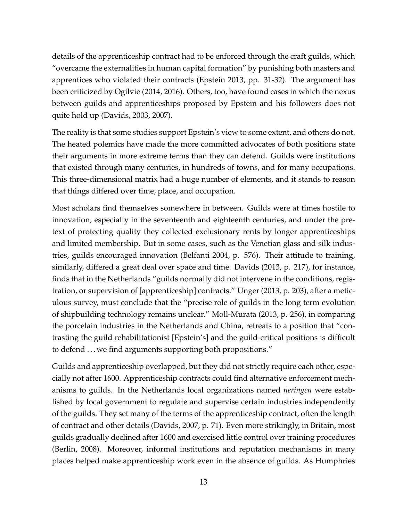details of the apprenticeship contract had to be enforced through the craft guilds, which "overcame the externalities in human capital formation" by punishing both masters and apprentices who violated their contracts (Epstein 2013, pp. 31-32). The argument has been criticized by Ogilvie (2014, 2016). Others, too, have found cases in which the nexus between guilds and apprenticeships proposed by Epstein and his followers does not quite hold up (Davids, 2003, 2007).

The reality is that some studies support Epstein's view to some extent, and others do not. The heated polemics have made the more committed advocates of both positions state their arguments in more extreme terms than they can defend. Guilds were institutions that existed through many centuries, in hundreds of towns, and for many occupations. This three-dimensional matrix had a huge number of elements, and it stands to reason that things differed over time, place, and occupation.

Most scholars find themselves somewhere in between. Guilds were at times hostile to innovation, especially in the seventeenth and eighteenth centuries, and under the pretext of protecting quality they collected exclusionary rents by longer apprenticeships and limited membership. But in some cases, such as the Venetian glass and silk industries, guilds encouraged innovation (Belfanti 2004, p. 576). Their attitude to training, similarly, differed a great deal over space and time. Davids (2013, p. 217), for instance, finds that in the Netherlands "guilds normally did not intervene in the conditions, registration, or supervision of [apprenticeship] contracts." Unger (2013, p. 203), after a meticulous survey, must conclude that the "precise role of guilds in the long term evolution of shipbuilding technology remains unclear." Moll-Murata (2013, p. 256), in comparing the porcelain industries in the Netherlands and China, retreats to a position that "contrasting the guild rehabilitationist [Epstein's] and the guild-critical positions is difficult to defend . . . we find arguments supporting both propositions."

Guilds and apprenticeship overlapped, but they did not strictly require each other, especially not after 1600. Apprenticeship contracts could find alternative enforcement mechanisms to guilds. In the Netherlands local organizations named *neringen* were established by local government to regulate and supervise certain industries independently of the guilds. They set many of the terms of the apprenticeship contract, often the length of contract and other details (Davids, 2007, p. 71). Even more strikingly, in Britain, most guilds gradually declined after 1600 and exercised little control over training procedures (Berlin, 2008). Moreover, informal institutions and reputation mechanisms in many places helped make apprenticeship work even in the absence of guilds. As Humphries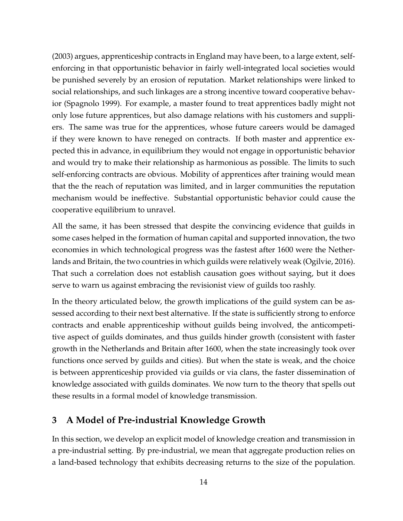(2003) argues, apprenticeship contracts in England may have been, to a large extent, selfenforcing in that opportunistic behavior in fairly well-integrated local societies would be punished severely by an erosion of reputation. Market relationships were linked to social relationships, and such linkages are a strong incentive toward cooperative behavior (Spagnolo 1999). For example, a master found to treat apprentices badly might not only lose future apprentices, but also damage relations with his customers and suppliers. The same was true for the apprentices, whose future careers would be damaged if they were known to have reneged on contracts. If both master and apprentice expected this in advance, in equilibrium they would not engage in opportunistic behavior and would try to make their relationship as harmonious as possible. The limits to such self-enforcing contracts are obvious. Mobility of apprentices after training would mean that the the reach of reputation was limited, and in larger communities the reputation mechanism would be ineffective. Substantial opportunistic behavior could cause the cooperative equilibrium to unravel.

All the same, it has been stressed that despite the convincing evidence that guilds in some cases helped in the formation of human capital and supported innovation, the two economies in which technological progress was the fastest after 1600 were the Netherlands and Britain, the two countries in which guilds were relatively weak (Ogilvie, 2016). That such a correlation does not establish causation goes without saying, but it does serve to warn us against embracing the revisionist view of guilds too rashly.

In the theory articulated below, the growth implications of the guild system can be assessed according to their next best alternative. If the state is sufficiently strong to enforce contracts and enable apprenticeship without guilds being involved, the anticompetitive aspect of guilds dominates, and thus guilds hinder growth (consistent with faster growth in the Netherlands and Britain after 1600, when the state increasingly took over functions once served by guilds and cities). But when the state is weak, and the choice is between apprenticeship provided via guilds or via clans, the faster dissemination of knowledge associated with guilds dominates. We now turn to the theory that spells out these results in a formal model of knowledge transmission.

# **3 A Model of Pre-industrial Knowledge Growth**

In this section, we develop an explicit model of knowledge creation and transmission in a pre-industrial setting. By pre-industrial, we mean that aggregate production relies on a land-based technology that exhibits decreasing returns to the size of the population.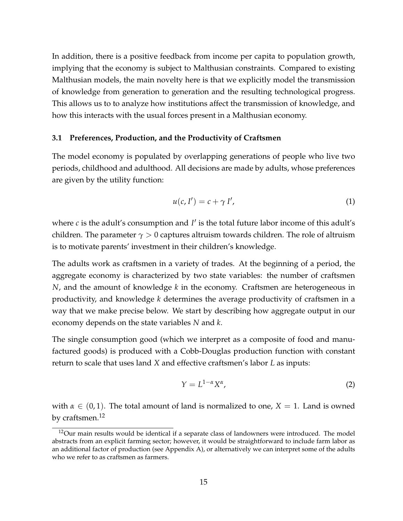In addition, there is a positive feedback from income per capita to population growth, implying that the economy is subject to Malthusian constraints. Compared to existing Malthusian models, the main novelty here is that we explicitly model the transmission of knowledge from generation to generation and the resulting technological progress. This allows us to to analyze how institutions affect the transmission of knowledge, and how this interacts with the usual forces present in a Malthusian economy.

### **3.1 Preferences, Production, and the Productivity of Craftsmen**

The model economy is populated by overlapping generations of people who live two periods, childhood and adulthood. All decisions are made by adults, whose preferences are given by the utility function:

$$
u(c, I') = c + \gamma I', \tag{1}
$$

where *c* is the adult's consumption and *I'* is the total future labor income of this adult's children. The parameter  $\gamma > 0$  captures altruism towards children. The role of altruism is to motivate parents' investment in their children's knowledge.

The adults work as craftsmen in a variety of trades. At the beginning of a period, the aggregate economy is characterized by two state variables: the number of craftsmen *N*, and the amount of knowledge *k* in the economy. Craftsmen are heterogeneous in productivity, and knowledge *k* determines the average productivity of craftsmen in a way that we make precise below. We start by describing how aggregate output in our economy depends on the state variables *N* and *k*.

The single consumption good (which we interpret as a composite of food and manufactured goods) is produced with a Cobb-Douglas production function with constant return to scale that uses land *X* and effective craftsmen's labor *L* as inputs:

$$
Y = L^{1-\alpha} X^{\alpha},\tag{2}
$$

with  $\alpha \in (0,1)$ . The total amount of land is normalized to one,  $X = 1$ . Land is owned by craftsmen.<sup>12</sup>

 $12$ Our main results would be identical if a separate class of landowners were introduced. The model abstracts from an explicit farming sector; however, it would be straightforward to include farm labor as an additional factor of production (see Appendix A), or alternatively we can interpret some of the adults who we refer to as craftsmen as farmers.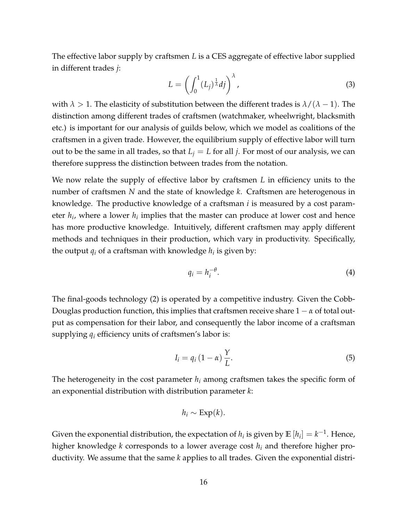The effective labor supply by craftsmen *L* is a CES aggregate of effective labor supplied in different trades *j*:

$$
L = \left(\int_0^1 (L_j)^{\frac{1}{\lambda}} dj\right)^{\lambda},\tag{3}
$$

with  $\lambda > 1$ . The elasticity of substitution between the different trades is  $\lambda/(\lambda - 1)$ . The distinction among different trades of craftsmen (watchmaker, wheelwright, blacksmith etc.) is important for our analysis of guilds below, which we model as coalitions of the craftsmen in a given trade. However, the equilibrium supply of effective labor will turn out to be the same in all trades, so that  $L<sub>j</sub> = L$  for all *j*. For most of our analysis, we can therefore suppress the distinction between trades from the notation.

We now relate the supply of effective labor by craftsmen *L* in efficiency units to the number of craftsmen *N* and the state of knowledge *k*. Craftsmen are heterogenous in knowledge. The productive knowledge of a craftsman *i* is measured by a cost parameter *h<sup>i</sup>* , where a lower *h<sup>i</sup>* implies that the master can produce at lower cost and hence has more productive knowledge. Intuitively, different craftsmen may apply different methods and techniques in their production, which vary in productivity. Specifically, the output  $q_i$  of a craftsman with knowledge  $h_i$  is given by:

$$
q_i = h_i^{-\theta}.\tag{4}
$$

The final-goods technology (2) is operated by a competitive industry. Given the Cobb-Douglas production function, this implies that craftsmen receive share 1 *− α* of total output as compensation for their labor, and consequently the labor income of a craftsman supplying *q<sup>i</sup>* efficiency units of craftsmen's labor is:

$$
I_i = q_i (1 - \alpha) \frac{Y}{L}.
$$
\n<sup>(5)</sup>

The heterogeneity in the cost parameter  $h_i$  among craftsmen takes the specific form of an exponential distribution with distribution parameter *k*:

$$
h_i \sim \operatorname{Exp}(k).
$$

Given the exponential distribution, the expectation of  $h_i$  is given by  $\mathbb{E}\left[h_i\right]=k^{-1}.$  Hence, higher knowledge *k* corresponds to a lower average cost *h<sup>i</sup>* and therefore higher productivity. We assume that the same *k* applies to all trades. Given the exponential distri-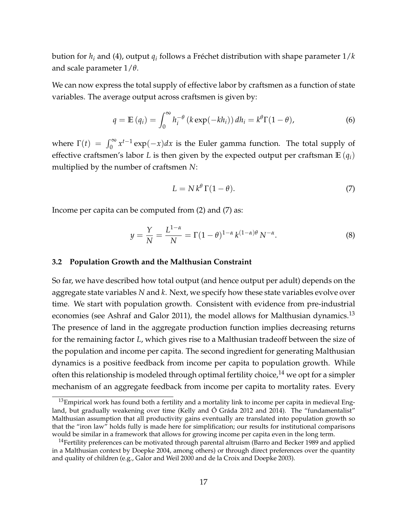bution for  $h_i$  and (4), output  $q_i$  follows a Fréchet distribution with shape parameter  $1/k$ and scale parameter 1/*θ*.

We can now express the total supply of effective labor by craftsmen as a function of state variables. The average output across craftsmen is given by:

$$
q = \mathbb{E}(q_i) = \int_0^\infty h_i^{-\theta} \left( k \exp(-kh_i) \right) dh_i = k^{\theta} \Gamma(1-\theta), \tag{6}
$$

where  $\Gamma(t) = \int_0^\infty x^{t-1} \exp(-x) dx$  is the Euler gamma function. The total supply of effective craftsmen's labor *L* is then given by the expected output per craftsman  $E(q_i)$ multiplied by the number of craftsmen *N*:

$$
L = N k^{\theta} \Gamma(1 - \theta). \tag{7}
$$

Income per capita can be computed from (2) and (7) as:

$$
y = \frac{Y}{N} = \frac{L^{1-\alpha}}{N} = \Gamma(1-\theta)^{1-\alpha} k^{(1-\alpha)\theta} N^{-\alpha}.
$$
 (8)

#### **3.2 Population Growth and the Malthusian Constraint**

So far, we have described how total output (and hence output per adult) depends on the aggregate state variables *N* and *k*. Next, we specify how these state variables evolve over time. We start with population growth. Consistent with evidence from pre-industrial economies (see Ashraf and Galor 2011), the model allows for Malthusian dynamics.<sup>13</sup> The presence of land in the aggregate production function implies decreasing returns for the remaining factor *L*, which gives rise to a Malthusian tradeoff between the size of the population and income per capita. The second ingredient for generating Malthusian dynamics is a positive feedback from income per capita to population growth. While often this relationship is modeled through optimal fertility choice, $14$  we opt for a simpler mechanism of an aggregate feedback from income per capita to mortality rates. Every

 $13$ Empirical work has found both a fertility and a mortality link to income per capita in medieval England, but gradually weakening over time (Kelly and  $\acute{O}$  Gráda 2012 and 2014). The "fundamentalist" Malthusian assumption that all productivity gains eventually are translated into population growth so that the "iron law" holds fully is made here for simplification; our results for institutional comparisons would be similar in a framework that allows for growing income per capita even in the long term.

<sup>&</sup>lt;sup>14</sup>Fertility preferences can be motivated through parental altruism (Barro and Becker 1989 and applied in a Malthusian context by Doepke 2004, among others) or through direct preferences over the quantity and quality of children (e.g., Galor and Weil 2000 and de la Croix and Doepke 2003).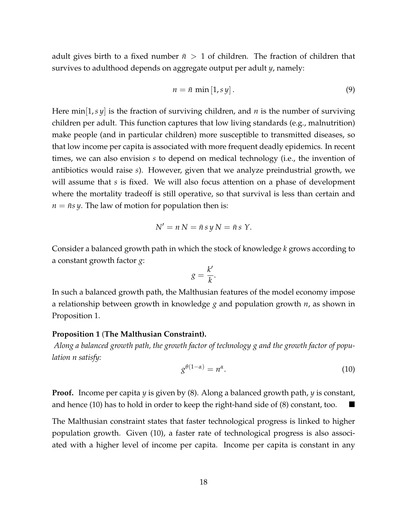adult gives birth to a fixed number  $\bar{n} > 1$  of children. The fraction of children that survives to adulthood depends on aggregate output per adult *y*, namely:

$$
n = \bar{n} \min[1, s\, y]. \tag{9}
$$

Here min[1,*s y*] is the fraction of surviving children, and *n* is the number of surviving children per adult. This function captures that low living standards (e.g., malnutrition) make people (and in particular children) more susceptible to transmitted diseases, so that low income per capita is associated with more frequent deadly epidemics. In recent times, we can also envision *s* to depend on medical technology (i.e., the invention of antibiotics would raise *s*). However, given that we analyze preindustrial growth, we will assume that *s* is fixed. We will also focus attention on a phase of development where the mortality tradeoff is still operative, so that survival is less than certain and  $n = \bar{n}s y$ . The law of motion for population then is:

$$
N' = n N = \bar{n} s y N = \bar{n} s Y.
$$

Consider a balanced growth path in which the stock of knowledge *k* grows according to a constant growth factor *g*:

$$
g=\frac{k'}{k}.
$$

In such a balanced growth path, the Malthusian features of the model economy impose a relationship between growth in knowledge *g* and population growth *n*, as shown in Proposition 1.

#### **Proposition 1** (**The Malthusian Constraint).**

*Along a balanced growth path, the growth factor of technology g and the growth factor of population n satisfy:*

$$
g^{\theta(1-\alpha)} = n^{\alpha}.\tag{10}
$$

**Proof.** Income per capita *y* is given by (8). Along a balanced growth path, *y* is constant, and hence (10) has to hold in order to keep the right-hand side of (8) constant, too.

The Malthusian constraint states that faster technological progress is linked to higher population growth. Given (10), a faster rate of technological progress is also associated with a higher level of income per capita. Income per capita is constant in any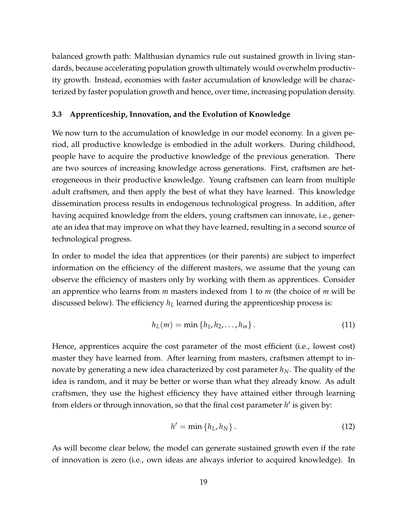balanced growth path: Malthusian dynamics rule out sustained growth in living standards, because accelerating population growth ultimately would overwhelm productivity growth. Instead, economies with faster accumulation of knowledge will be characterized by faster population growth and hence, over time, increasing population density.

#### **3.3 Apprenticeship, Innovation, and the Evolution of Knowledge**

We now turn to the accumulation of knowledge in our model economy. In a given period, all productive knowledge is embodied in the adult workers. During childhood, people have to acquire the productive knowledge of the previous generation. There are two sources of increasing knowledge across generations. First, craftsmen are heterogeneous in their productive knowledge. Young craftsmen can learn from multiple adult craftsmen, and then apply the best of what they have learned. This knowledge dissemination process results in endogenous technological progress. In addition, after having acquired knowledge from the elders, young craftsmen can innovate, i.e., generate an idea that may improve on what they have learned, resulting in a second source of technological progress.

In order to model the idea that apprentices (or their parents) are subject to imperfect information on the efficiency of the different masters, we assume that the young can observe the efficiency of masters only by working with them as apprentices. Consider an apprentice who learns from *m* masters indexed from 1 to *m* (the choice of *m* will be discussed below). The efficiency *h<sup>L</sup>* learned during the apprenticeship process is:

$$
h_L(m) = \min \{h_1, h_2, \dots, h_m\}.
$$
 (11)

Hence, apprentices acquire the cost parameter of the most efficient (i.e., lowest cost) master they have learned from. After learning from masters, craftsmen attempt to innovate by generating a new idea characterized by cost parameter  $h_N$ . The quality of the idea is random, and it may be better or worse than what they already know. As adult craftsmen, they use the highest efficiency they have attained either through learning from elders or through innovation, so that the final cost parameter *h ′* is given by:

$$
h' = \min\{h_L, h_N\}.
$$
\n(12)

As will become clear below, the model can generate sustained growth even if the rate of innovation is zero (i.e., own ideas are always inferior to acquired knowledge). In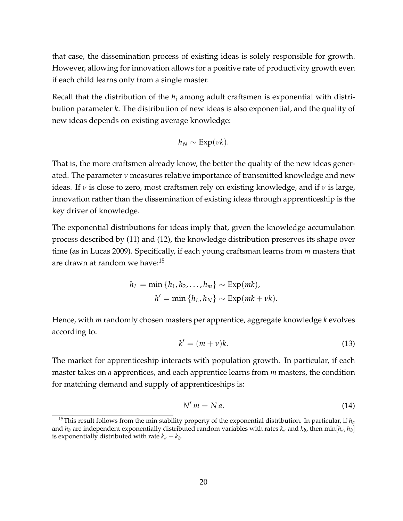that case, the dissemination process of existing ideas is solely responsible for growth. However, allowing for innovation allows for a positive rate of productivity growth even if each child learns only from a single master.

Recall that the distribution of the *h<sup>i</sup>* among adult craftsmen is exponential with distribution parameter *k*. The distribution of new ideas is also exponential, and the quality of new ideas depends on existing average knowledge:

$$
h_N \sim \text{Exp}(\nu k).
$$

That is, the more craftsmen already know, the better the quality of the new ideas generated. The parameter *ν* measures relative importance of transmitted knowledge and new ideas. If *ν* is close to zero, most craftsmen rely on existing knowledge, and if *ν* is large, innovation rather than the dissemination of existing ideas through apprenticeship is the key driver of knowledge.

The exponential distributions for ideas imply that, given the knowledge accumulation process described by (11) and (12), the knowledge distribution preserves its shape over time (as in Lucas 2009). Specifically, if each young craftsman learns from *m* masters that are drawn at random we have:<sup>15</sup>

$$
h_L = \min \{h_1, h_2, \dots, h_m\} \sim \text{Exp}(mk),
$$
  

$$
h' = \min \{h_L, h_N\} \sim \text{Exp}(mk + vk).
$$

Hence, with *m* randomly chosen masters per apprentice, aggregate knowledge *k* evolves according to:

$$
k' = (m + \nu)k.\tag{13}
$$

The market for apprenticeship interacts with population growth. In particular, if each master takes on *a* apprentices, and each apprentice learns from *m* masters, the condition for matching demand and supply of apprenticeships is:

$$
N'm = Na. \tag{14}
$$

<sup>&</sup>lt;sup>15</sup>This result follows from the min stability property of the exponential distribution. In particular, if  $h_a$ and  $h_b$  are independent exponentially distributed random variables with rates  $k_a$  and  $k_b$ , then  $\min[h_a, h_b]$ is exponentially distributed with rate  $k_a + k_b$ .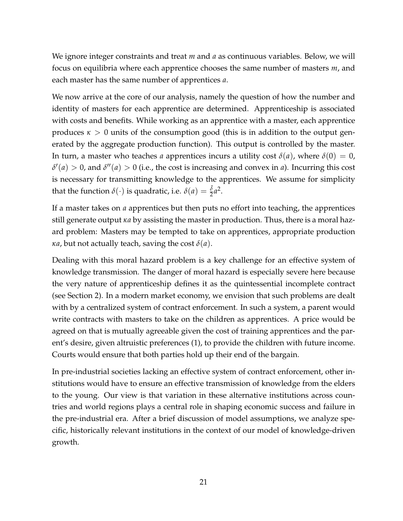We ignore integer constraints and treat *m* and *a* as continuous variables. Below, we will focus on equilibria where each apprentice chooses the same number of masters *m*, and each master has the same number of apprentices *a*.

We now arrive at the core of our analysis, namely the question of how the number and identity of masters for each apprentice are determined. Apprenticeship is associated with costs and benefits. While working as an apprentice with a master, each apprentice produces  $\kappa > 0$  units of the consumption good (this is in addition to the output generated by the aggregate production function). This output is controlled by the master. In turn, a master who teaches *a* apprentices incurs a utility cost  $\delta(a)$ , where  $\delta(0) = 0$ ,  $\delta'(a) > 0$ , and  $\delta''(a) > 0$  (i.e., the cost is increasing and convex in *a*). Incurring this cost is necessary for transmitting knowledge to the apprentices. We assume for simplicity that the function  $\delta(\cdot)$  is quadratic, i.e.  $\delta(a) = \frac{\bar{\delta}}{2}a^2$ .

If a master takes on *a* apprentices but then puts no effort into teaching, the apprentices still generate output *κa* by assisting the master in production. Thus, there is a moral hazard problem: Masters may be tempted to take on apprentices, appropriate production *κa*, but not actually teach, saving the cost *δ*(*a*).

Dealing with this moral hazard problem is a key challenge for an effective system of knowledge transmission. The danger of moral hazard is especially severe here because the very nature of apprenticeship defines it as the quintessential incomplete contract (see Section 2). In a modern market economy, we envision that such problems are dealt with by a centralized system of contract enforcement. In such a system, a parent would write contracts with masters to take on the children as apprentices. A price would be agreed on that is mutually agreeable given the cost of training apprentices and the parent's desire, given altruistic preferences (1), to provide the children with future income. Courts would ensure that both parties hold up their end of the bargain.

In pre-industrial societies lacking an effective system of contract enforcement, other institutions would have to ensure an effective transmission of knowledge from the elders to the young. Our view is that variation in these alternative institutions across countries and world regions plays a central role in shaping economic success and failure in the pre-industrial era. After a brief discussion of model assumptions, we analyze specific, historically relevant institutions in the context of our model of knowledge-driven growth.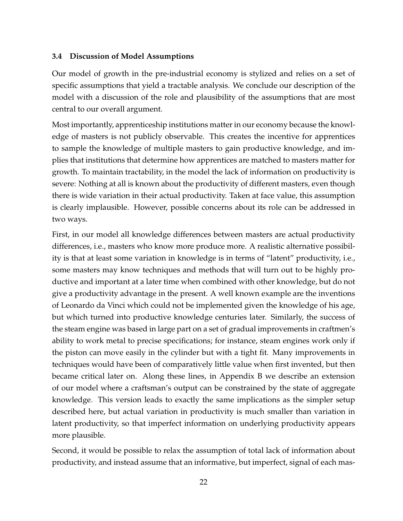### **3.4 Discussion of Model Assumptions**

Our model of growth in the pre-industrial economy is stylized and relies on a set of specific assumptions that yield a tractable analysis. We conclude our description of the model with a discussion of the role and plausibility of the assumptions that are most central to our overall argument.

Most importantly, apprenticeship institutions matter in our economy because the knowledge of masters is not publicly observable. This creates the incentive for apprentices to sample the knowledge of multiple masters to gain productive knowledge, and implies that institutions that determine how apprentices are matched to masters matter for growth. To maintain tractability, in the model the lack of information on productivity is severe: Nothing at all is known about the productivity of different masters, even though there is wide variation in their actual productivity. Taken at face value, this assumption is clearly implausible. However, possible concerns about its role can be addressed in two ways.

First, in our model all knowledge differences between masters are actual productivity differences, i.e., masters who know more produce more. A realistic alternative possibility is that at least some variation in knowledge is in terms of "latent" productivity, i.e., some masters may know techniques and methods that will turn out to be highly productive and important at a later time when combined with other knowledge, but do not give a productivity advantage in the present. A well known example are the inventions of Leonardo da Vinci which could not be implemented given the knowledge of his age, but which turned into productive knowledge centuries later. Similarly, the success of the steam engine was based in large part on a set of gradual improvements in craftmen's ability to work metal to precise specifications; for instance, steam engines work only if the piston can move easily in the cylinder but with a tight fit. Many improvements in techniques would have been of comparatively little value when first invented, but then became critical later on. Along these lines, in Appendix B we describe an extension of our model where a craftsman's output can be constrained by the state of aggregate knowledge. This version leads to exactly the same implications as the simpler setup described here, but actual variation in productivity is much smaller than variation in latent productivity, so that imperfect information on underlying productivity appears more plausible.

Second, it would be possible to relax the assumption of total lack of information about productivity, and instead assume that an informative, but imperfect, signal of each mas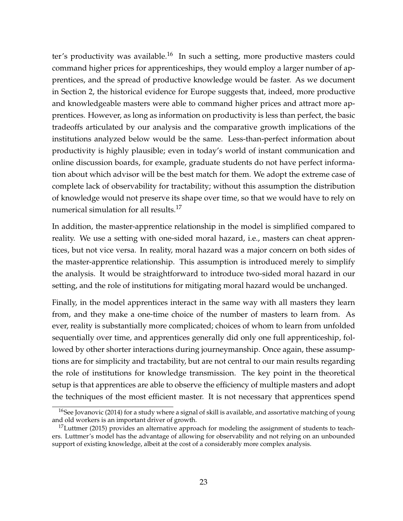ter's productivity was available.<sup>16</sup> In such a setting, more productive masters could command higher prices for apprenticeships, they would employ a larger number of apprentices, and the spread of productive knowledge would be faster. As we document in Section 2, the historical evidence for Europe suggests that, indeed, more productive and knowledgeable masters were able to command higher prices and attract more apprentices. However, as long as information on productivity is less than perfect, the basic tradeoffs articulated by our analysis and the comparative growth implications of the institutions analyzed below would be the same. Less-than-perfect information about productivity is highly plausible; even in today's world of instant communication and online discussion boards, for example, graduate students do not have perfect information about which advisor will be the best match for them. We adopt the extreme case of complete lack of observability for tractability; without this assumption the distribution of knowledge would not preserve its shape over time, so that we would have to rely on numerical simulation for all results.<sup>17</sup>

In addition, the master-apprentice relationship in the model is simplified compared to reality. We use a setting with one-sided moral hazard, i.e., masters can cheat apprentices, but not vice versa. In reality, moral hazard was a major concern on both sides of the master-apprentice relationship. This assumption is introduced merely to simplify the analysis. It would be straightforward to introduce two-sided moral hazard in our setting, and the role of institutions for mitigating moral hazard would be unchanged.

Finally, in the model apprentices interact in the same way with all masters they learn from, and they make a one-time choice of the number of masters to learn from. As ever, reality is substantially more complicated; choices of whom to learn from unfolded sequentially over time, and apprentices generally did only one full apprenticeship, followed by other shorter interactions during journeymanship. Once again, these assumptions are for simplicity and tractability, but are not central to our main results regarding the role of institutions for knowledge transmission. The key point in the theoretical setup is that apprentices are able to observe the efficiency of multiple masters and adopt the techniques of the most efficient master. It is not necessary that apprentices spend

<sup>&</sup>lt;sup>16</sup>See Jovanovic (2014) for a study where a signal of skill is available, and assortative matching of young and old workers is an important driver of growth.

 $17$ Luttmer (2015) provides an alternative approach for modeling the assignment of students to teachers. Luttmer's model has the advantage of allowing for observability and not relying on an unbounded support of existing knowledge, albeit at the cost of a considerably more complex analysis.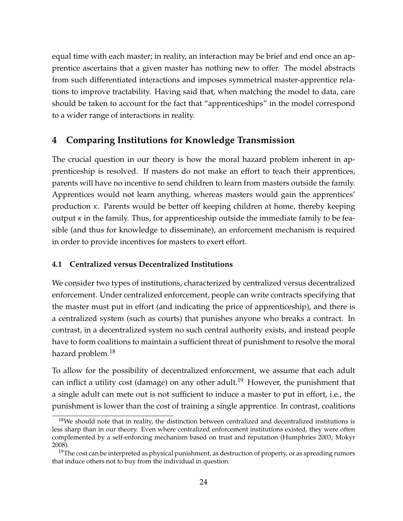equal time with each master; in reality, an interaction may be brief and end once an apprentice ascertains that a given master has nothing new to offer. The model abstracts from such differentiated interactions and imposes symmetrical master-apprentice relations to improve tractability. Having said that, when matching the model to data, care should be taken to account for the fact that "apprenticeships" in the model correspond to a wider range of interactions in reality.

# **4 Comparing Institutions for Knowledge Transmission**

The crucial question in our theory is how the moral hazard problem inherent in apprenticeship is resolved. If masters do not make an effort to teach their apprentices, parents will have no incentive to send children to learn from masters outside the family. Apprentices would not learn anything, whereas masters would gain the apprentices' production *κ*. Parents would be better off keeping children at home, thereby keeping output *κ* in the family. Thus, for apprenticeship outside the immediate family to be feasible (and thus for knowledge to disseminate), an enforcement mechanism is required in order to provide incentives for masters to exert effort.

## **4.1 Centralized versus Decentralized Institutions**

We consider two types of institutions, characterized by centralized versus decentralized enforcement. Under centralized enforcement, people can write contracts specifying that the master must put in effort (and indicating the price of apprenticeship), and there is a centralized system (such as courts) that punishes anyone who breaks a contract. In contrast, in a decentralized system no such central authority exists, and instead people have to form coalitions to maintain a sufficient threat of punishment to resolve the moral hazard problem.<sup>18</sup>

To allow for the possibility of decentralized enforcement, we assume that each adult can inflict a utility cost (damage) on any other adult.<sup>19</sup> However, the punishment that a single adult can mete out is not sufficient to induce a master to put in effort, i.e., the punishment is lower than the cost of training a single apprentice. In contrast, coalitions

 $18$ We should note that in reality, the distinction between centralized and decentralized institutions is less sharp than in our theory. Even where centralized enforcement institutions existed, they were often complemented by a self-enforcing mechanism based on trust and reputation (Humphries 2003; Mokyr 2008).

 $19$ The cost can be interpreted as physical punishment, as destruction of property, or as spreading rumors that induce others not to buy from the individual in question.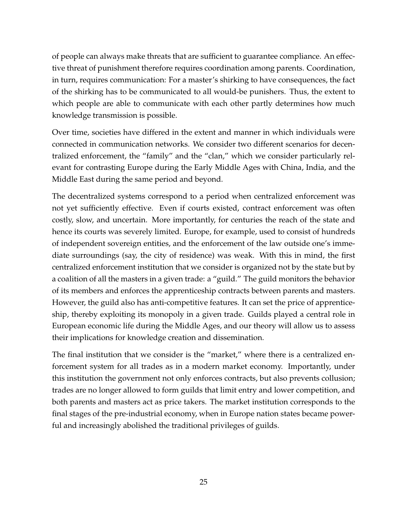of people can always make threats that are sufficient to guarantee compliance. An effective threat of punishment therefore requires coordination among parents. Coordination, in turn, requires communication: For a master's shirking to have consequences, the fact of the shirking has to be communicated to all would-be punishers. Thus, the extent to which people are able to communicate with each other partly determines how much knowledge transmission is possible.

Over time, societies have differed in the extent and manner in which individuals were connected in communication networks. We consider two different scenarios for decentralized enforcement, the "family" and the "clan," which we consider particularly relevant for contrasting Europe during the Early Middle Ages with China, India, and the Middle East during the same period and beyond.

The decentralized systems correspond to a period when centralized enforcement was not yet sufficiently effective. Even if courts existed, contract enforcement was often costly, slow, and uncertain. More importantly, for centuries the reach of the state and hence its courts was severely limited. Europe, for example, used to consist of hundreds of independent sovereign entities, and the enforcement of the law outside one's immediate surroundings (say, the city of residence) was weak. With this in mind, the first centralized enforcement institution that we consider is organized not by the state but by a coalition of all the masters in a given trade: a "guild." The guild monitors the behavior of its members and enforces the apprenticeship contracts between parents and masters. However, the guild also has anti-competitive features. It can set the price of apprenticeship, thereby exploiting its monopoly in a given trade. Guilds played a central role in European economic life during the Middle Ages, and our theory will allow us to assess their implications for knowledge creation and dissemination.

The final institution that we consider is the "market," where there is a centralized enforcement system for all trades as in a modern market economy. Importantly, under this institution the government not only enforces contracts, but also prevents collusion; trades are no longer allowed to form guilds that limit entry and lower competition, and both parents and masters act as price takers. The market institution corresponds to the final stages of the pre-industrial economy, when in Europe nation states became powerful and increasingly abolished the traditional privileges of guilds.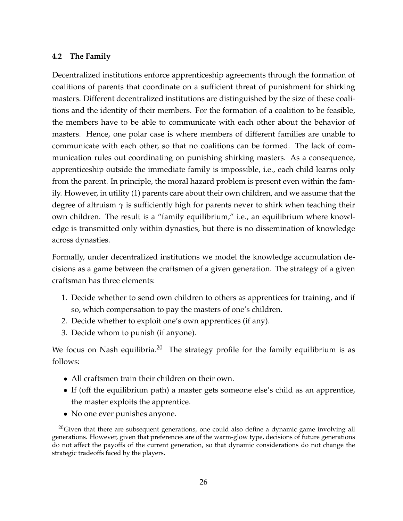### **4.2 The Family**

Decentralized institutions enforce apprenticeship agreements through the formation of coalitions of parents that coordinate on a sufficient threat of punishment for shirking masters. Different decentralized institutions are distinguished by the size of these coalitions and the identity of their members. For the formation of a coalition to be feasible, the members have to be able to communicate with each other about the behavior of masters. Hence, one polar case is where members of different families are unable to communicate with each other, so that no coalitions can be formed. The lack of communication rules out coordinating on punishing shirking masters. As a consequence, apprenticeship outside the immediate family is impossible, i.e., each child learns only from the parent. In principle, the moral hazard problem is present even within the family. However, in utility (1) parents care about their own children, and we assume that the degree of altruism  $\gamma$  is sufficiently high for parents never to shirk when teaching their own children. The result is a "family equilibrium," i.e., an equilibrium where knowledge is transmitted only within dynasties, but there is no dissemination of knowledge across dynasties.

Formally, under decentralized institutions we model the knowledge accumulation decisions as a game between the craftsmen of a given generation. The strategy of a given craftsman has three elements:

- 1. Decide whether to send own children to others as apprentices for training, and if so, which compensation to pay the masters of one's children.
- 2. Decide whether to exploit one's own apprentices (if any).
- 3. Decide whom to punish (if anyone).

We focus on Nash equilibria.<sup>20</sup> The strategy profile for the family equilibrium is as follows:

- *•* All craftsmen train their children on their own.
- If (off the equilibrium path) a master gets someone else's child as an apprentice, the master exploits the apprentice.
- No one ever punishes anyone.

 $20$ Given that there are subsequent generations, one could also define a dynamic game involving all generations. However, given that preferences are of the warm-glow type, decisions of future generations do not affect the payoffs of the current generation, so that dynamic considerations do not change the strategic tradeoffs faced by the players.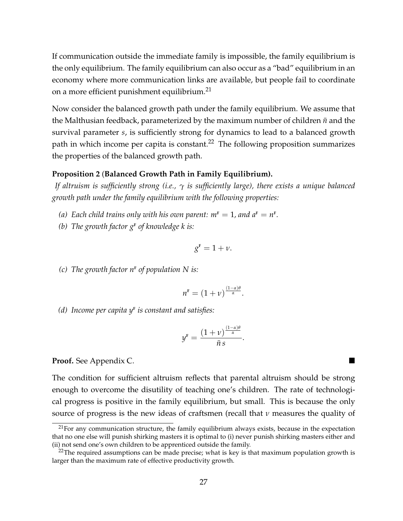If communication outside the immediate family is impossible, the family equilibrium is the only equilibrium. The family equilibrium can also occur as a "bad" equilibrium in an economy where more communication links are available, but people fail to coordinate on a more efficient punishment equilibrium.<sup>21</sup>

Now consider the balanced growth path under the family equilibrium. We assume that the Malthusian feedback, parameterized by the maximum number of children  $\bar{n}$  and the survival parameter *s*, is sufficiently strong for dynamics to lead to a balanced growth path in which income per capita is constant. $22$  The following proposition summarizes the properties of the balanced growth path.

### **Proposition 2** (**Balanced Growth Path in Family Equilibrium).**

*If altruism is sufficiently strong (i.e., γ is sufficiently large), there exists a unique balanced growth path under the family equilibrium with the following properties:*

- *(a)* Each child trains only with his own parent:  $m^F = 1$ , and  $a^F = n^F$ .
- *(b) The growth factor g***<sup>F</sup>** *of knowledge k is:*

$$
g^{\mathrm{F}}=1+\nu.
$$

*(c) The growth factor n***<sup>F</sup>** *of population N is:*

$$
n^{\mathrm{F}}=(1+\nu)^{\frac{(1-\alpha)\theta}{\alpha}}.
$$

*(d) Income per capita y***<sup>F</sup>** *is constant and satisfies:*

$$
y^{\mathrm{F}}=\frac{(1+\nu)^{\frac{(1-\alpha)\theta}{\alpha}}}{\bar{n}\,s}.
$$

**Proof.** See Appendix C.

The condition for sufficient altruism reflects that parental altruism should be strong enough to overcome the disutility of teaching one's children. The rate of technological progress is positive in the family equilibrium, but small. This is because the only source of progress is the new ideas of craftsmen (recall that *ν* measures the quality of

 $21$  For any communication structure, the family equilibrium always exists, because in the expectation that no one else will punish shirking masters it is optimal to (i) never punish shirking masters either and (ii) not send one's own children to be apprenticed outside the family.

<sup>&</sup>lt;sup>22</sup>The required assumptions can be made precise; what is key is that maximum population growth is larger than the maximum rate of effective productivity growth.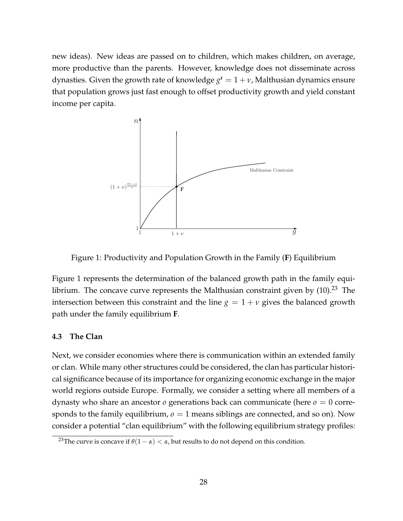new ideas). New ideas are passed on to children, which makes children, on average, more productive than the parents. However, knowledge does not disseminate across dynasties. Given the growth rate of knowledge  $g^F = 1 + \nu$ , Malthusian dynamics ensure that population grows just fast enough to offset productivity growth and yield constant income per capita.



Figure 1: Productivity and Population Growth in the Family (**F**) Equilibrium

Figure 1 represents the determination of the balanced growth path in the family equilibrium. The concave curve represents the Malthusian constraint given by  $(10).^{23}$  The intersection between this constraint and the line  $g = 1 + v$  gives the balanced growth path under the family equilibrium **F**.

### **4.3 The Clan**

Next, we consider economies where there is communication within an extended family or clan. While many other structures could be considered, the clan has particular historical significance because of its importance for organizing economic exchange in the major world regions outside Europe. Formally, we consider a setting where all members of a dynasty who share an ancestor *o* generations back can communicate (here *o* = 0 corresponds to the family equilibrium,  $\rho = 1$  means siblings are connected, and so on). Now consider a potential "clan equilibrium" with the following equilibrium strategy profiles:

<sup>&</sup>lt;sup>23</sup>The curve is concave if  $\theta(1 - \alpha) < \alpha$ , but results to do not depend on this condition.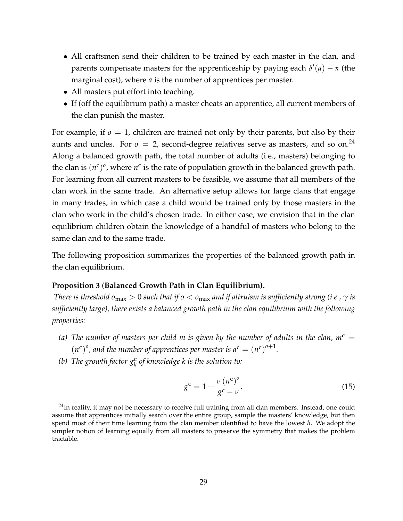- *•* All craftsmen send their children to be trained by each master in the clan, and parents compensate masters for the apprenticeship by paying each  $\delta'(a) - \kappa$  (the marginal cost), where *a* is the number of apprentices per master.
- All masters put effort into teaching.
- *•* If (off the equilibrium path) a master cheats an apprentice, all current members of the clan punish the master.

For example, if  $o = 1$ , children are trained not only by their parents, but also by their aunts and uncles. For  $o = 2$ , second-degree relatives serve as masters, and so on.<sup>24</sup> Along a balanced growth path, the total number of adults (i.e., masters) belonging to the clan is  $(n^c)$ <sup>*o*</sup>, where *n*<sup>c</sup> is the rate of population growth in the balanced growth path. For learning from all current masters to be feasible, we assume that all members of the clan work in the same trade. An alternative setup allows for large clans that engage in many trades, in which case a child would be trained only by those masters in the clan who work in the child's chosen trade. In either case, we envision that in the clan equilibrium children obtain the knowledge of a handful of masters who belong to the same clan and to the same trade.

The following proposition summarizes the properties of the balanced growth path in the clan equilibrium.

### **Proposition 3** (**Balanced Growth Path in Clan Equilibrium).**

*There is threshold o*<sub>max</sub>  $> 0$  *such that if o*  $<$  *o*<sub>max</sub> *and if altruism is sufficiently strong (i.e.,*  $\gamma$  *is sufficiently large), there exists a balanced growth path in the clan equilibrium with the following properties:*

- (a) The number of masters per child m is given by the number of adults in the clan,  $m<sup>c</sup>$  =  $(n^c)^0$ , and the number of apprentices per master is  $a^c = (n^c)^{o+1}$ .
- (b) The growth factor  $g_{k}^{\mathsf{c}}$  of knowledge  $k$  is the solution to:

$$
g^{c} = 1 + \frac{\nu (n^{c})^{o}}{g^{c} - \nu}.
$$
 (15)

<sup>&</sup>lt;sup>24</sup>In reality, it may not be necessary to receive full training from all clan members. Instead, one could assume that apprentices initially search over the entire group, sample the masters' knowledge, but then spend most of their time learning from the clan member identified to have the lowest *h*. We adopt the simpler notion of learning equally from all masters to preserve the symmetry that makes the problem tractable.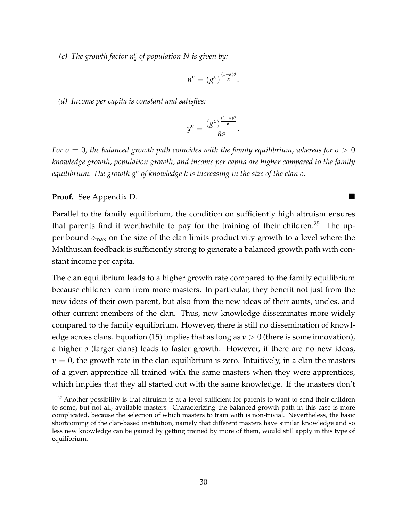(c) The growth factor  $n_k^{\mathsf{c}}$  of population  $N$  is given by:

$$
n^{\mathsf{c}} = (g^{\mathsf{c}})^{\frac{(1-\alpha)\theta}{\alpha}}.
$$

*(d) Income per capita is constant and satisfies:*

$$
y^{\rm c} = \frac{(g^{\rm c})^{\frac{(1-\alpha)\theta}{\alpha}}}{\bar{n}s}
$$

.

*For*  $o = 0$ *, the balanced growth path coincides with the family equilibrium, whereas for*  $o > 0$ *knowledge growth, population growth, and income per capita are higher compared to the family equilibrium. The growth g***<sup>C</sup>** *of knowledge k is increasing in the size of the clan o.*

### **Proof.** See Appendix D.

Parallel to the family equilibrium, the condition on sufficiently high altruism ensures that parents find it worthwhile to pay for the training of their children.<sup>25</sup> The upper bound *o*max on the size of the clan limits productivity growth to a level where the Malthusian feedback is sufficiently strong to generate a balanced growth path with constant income per capita.

The clan equilibrium leads to a higher growth rate compared to the family equilibrium because children learn from more masters. In particular, they benefit not just from the new ideas of their own parent, but also from the new ideas of their aunts, uncles, and other current members of the clan. Thus, new knowledge disseminates more widely compared to the family equilibrium. However, there is still no dissemination of knowledge across clans. Equation (15) implies that as long as  $\nu > 0$  (there is some innovation), a higher *o* (larger clans) leads to faster growth. However, if there are no new ideas,  $\nu = 0$ , the growth rate in the clan equilibrium is zero. Intuitively, in a clan the masters of a given apprentice all trained with the same masters when they were apprentices, which implies that they all started out with the same knowledge. If the masters don't

 $25$ Another possibility is that altruism is at a level sufficient for parents to want to send their children to some, but not all, available masters. Characterizing the balanced growth path in this case is more complicated, because the selection of which masters to train with is non-trivial. Nevertheless, the basic shortcoming of the clan-based institution, namely that different masters have similar knowledge and so less new knowledge can be gained by getting trained by more of them, would still apply in this type of equilibrium.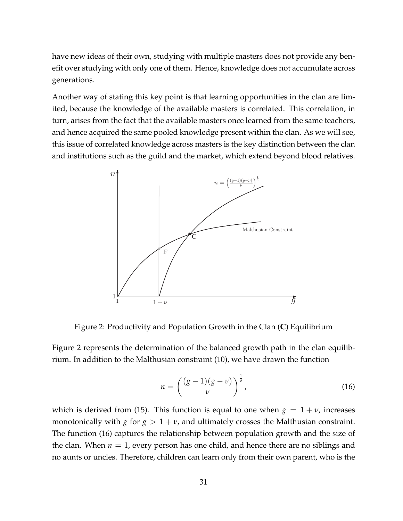have new ideas of their own, studying with multiple masters does not provide any benefit over studying with only one of them. Hence, knowledge does not accumulate across generations.

Another way of stating this key point is that learning opportunities in the clan are limited, because the knowledge of the available masters is correlated. This correlation, in turn, arises from the fact that the available masters once learned from the same teachers, and hence acquired the same pooled knowledge present within the clan. As we will see, this issue of correlated knowledge across masters is the key distinction between the clan and institutions such as the guild and the market, which extend beyond blood relatives.



Figure 2: Productivity and Population Growth in the Clan (**C**) Equilibrium

Figure 2 represents the determination of the balanced growth path in the clan equilibrium. In addition to the Malthusian constraint (10), we have drawn the function

$$
n = \left(\frac{(g-1)(g-\nu)}{\nu}\right)^{\frac{1}{\sigma}},\tag{16}
$$

which is derived from (15). This function is equal to one when  $g = 1 + v$ , increases monotonically with  $g$  for  $g > 1 + v$ , and ultimately crosses the Malthusian constraint. The function (16) captures the relationship between population growth and the size of the clan. When  $n = 1$ , every person has one child, and hence there are no siblings and no aunts or uncles. Therefore, children can learn only from their own parent, who is the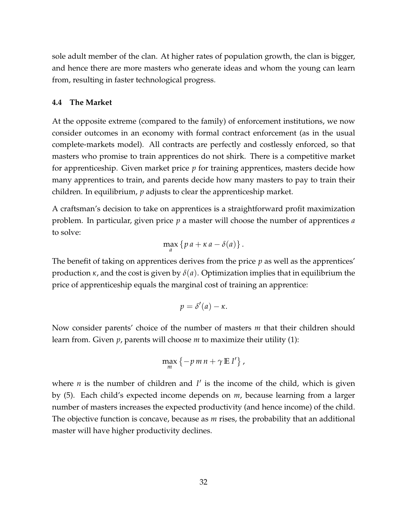sole adult member of the clan. At higher rates of population growth, the clan is bigger, and hence there are more masters who generate ideas and whom the young can learn from, resulting in faster technological progress.

### **4.4 The Market**

At the opposite extreme (compared to the family) of enforcement institutions, we now consider outcomes in an economy with formal contract enforcement (as in the usual complete-markets model). All contracts are perfectly and costlessly enforced, so that masters who promise to train apprentices do not shirk. There is a competitive market for apprenticeship. Given market price *p* for training apprentices, masters decide how many apprentices to train, and parents decide how many masters to pay to train their children. In equilibrium, *p* adjusts to clear the apprenticeship market.

A craftsman's decision to take on apprentices is a straightforward profit maximization problem. In particular, given price *p* a master will choose the number of apprentices *a* to solve:

$$
\max_a \{p\,a + \kappa\,a - \delta(a)\}\,.
$$

The benefit of taking on apprentices derives from the price *p* as well as the apprentices' production *κ*, and the cost is given by *δ*(*a*). Optimization implies that in equilibrium the price of apprenticeship equals the marginal cost of training an apprentice:

$$
p = \delta'(a) - \kappa.
$$

Now consider parents' choice of the number of masters *m* that their children should learn from. Given *p*, parents will choose *m* to maximize their utility (1):

$$
\max_{m} \left\{-p \, m \, n + \gamma \, \mathbb{E} \, I'\right\},\,
$$

where  $n$  is the number of children and  $I'$  is the income of the child, which is given by (5). Each child's expected income depends on *m*, because learning from a larger number of masters increases the expected productivity (and hence income) of the child. The objective function is concave, because as *m* rises, the probability that an additional master will have higher productivity declines.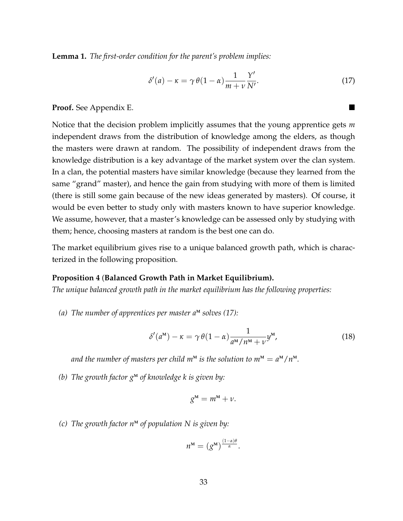**Lemma 1.** *The first-order condition for the parent's problem implies:*

$$
\delta'(a) - \kappa = \gamma \theta (1 - \alpha) \frac{1}{m + \nu} \frac{Y'}{N'}.
$$
 (17)

#### **Proof.** See Appendix E.

Notice that the decision problem implicitly assumes that the young apprentice gets *m* independent draws from the distribution of knowledge among the elders, as though the masters were drawn at random. The possibility of independent draws from the knowledge distribution is a key advantage of the market system over the clan system. In a clan, the potential masters have similar knowledge (because they learned from the same "grand" master), and hence the gain from studying with more of them is limited (there is still some gain because of the new ideas generated by masters). Of course, it would be even better to study only with masters known to have superior knowledge. We assume, however, that a master's knowledge can be assessed only by studying with them; hence, choosing masters at random is the best one can do.

The market equilibrium gives rise to a unique balanced growth path, which is characterized in the following proposition.

#### **Proposition 4** (**Balanced Growth Path in Market Equilibrium).**

*The unique balanced growth path in the market equilibrium has the following properties:*

*(a) The number of apprentices per master*  $a^M$  *solves (17):* 

$$
\delta'(a^M) - \kappa = \gamma \theta (1 - \alpha) \frac{1}{a^M / n^M + \nu} y^M,
$$
\n(18)

and the number of masters per child  $m^{\texttt{M}}$  is the solution to  $m^{\texttt{M}} = a^{\texttt{M}}/n^{\texttt{M}}$ .

*(b) The growth factor g***<sup>M</sup>** *of knowledge k is given by:*

$$
g^{\mathbf{M}} = m^{\mathbf{M}} + \nu.
$$

*(c) The growth factor n***<sup>M</sup>** *of population N is given by:*

$$
\textbf{n}^{\text{M}}=(g^{\text{M}})^{\frac{(1-\alpha)\theta}{\alpha}}.
$$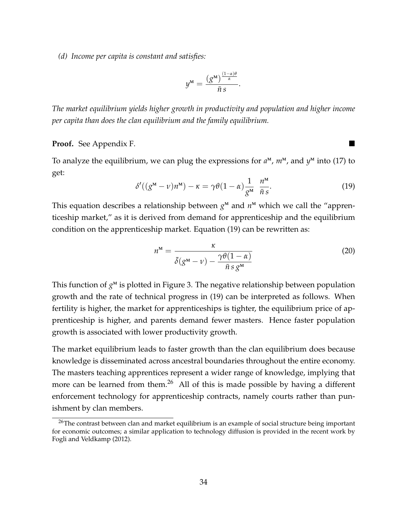*(d) Income per capita is constant and satisfies:*

$$
y^M=\frac{(g^M)^{\frac{(1-\alpha)\theta}{\alpha}}}{\bar{n}\,s}.
$$

*The market equilibrium yields higher growth in productivity and population and higher income per capita than does the clan equilibrium and the family equilibrium.*

### **Proof.** See Appendix F.

To analyze the equilibrium, we can plug the expressions for  $a^M$ ,  $m^M$ , and  $y^M$  into (17) to get:

$$
\delta'((g^M - \nu)n^M) - \kappa = \gamma \theta (1 - \alpha) \frac{1}{g^M} \frac{n^M}{\bar{n}s}.
$$
 (19)

This equation describes a relationship between  $g^M$  and  $n^M$  which we call the "apprenticeship market," as it is derived from demand for apprenticeship and the equilibrium condition on the apprenticeship market. Equation (19) can be rewritten as:

$$
n^{\mathbf{M}} = \frac{\kappa}{\bar{\delta}(g^{\mathbf{M}} - \nu) - \frac{\gamma \theta (1 - \alpha)}{\bar{n} s g^{\mathbf{M}}}}
$$
(20)

This function of  $g^{\text{M}}$  is plotted in Figure 3. The negative relationship between population growth and the rate of technical progress in (19) can be interpreted as follows. When fertility is higher, the market for apprenticeships is tighter, the equilibrium price of apprenticeship is higher, and parents demand fewer masters. Hence faster population growth is associated with lower productivity growth.

The market equilibrium leads to faster growth than the clan equilibrium does because knowledge is disseminated across ancestral boundaries throughout the entire economy. The masters teaching apprentices represent a wider range of knowledge, implying that more can be learned from them.<sup>26</sup> All of this is made possible by having a different enforcement technology for apprenticeship contracts, namely courts rather than punishment by clan members.

<sup>&</sup>lt;sup>26</sup>The contrast between clan and market equilibrium is an example of social structure being important for economic outcomes; a similar application to technology diffusion is provided in the recent work by Fogli and Veldkamp (2012).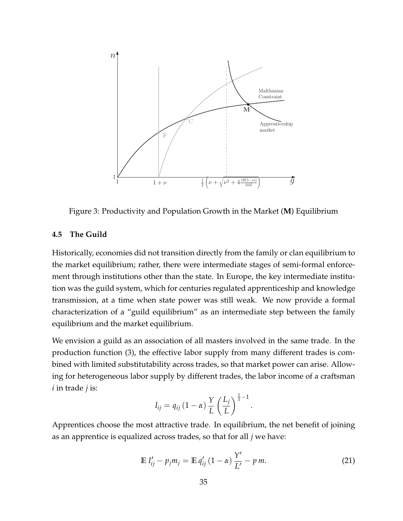

Figure 3: Productivity and Population Growth in the Market (**M**) Equilibrium

### **4.5 The Guild**

Historically, economies did not transition directly from the family or clan equilibrium to the market equilibrium; rather, there were intermediate stages of semi-formal enforcement through institutions other than the state. In Europe, the key intermediate institution was the guild system, which for centuries regulated apprenticeship and knowledge transmission, at a time when state power was still weak. We now provide a formal characterization of a "guild equilibrium" as an intermediate step between the family equilibrium and the market equilibrium.

We envision a guild as an association of all masters involved in the same trade. In the production function (3), the effective labor supply from many different trades is combined with limited substitutability across trades, so that market power can arise. Allowing for heterogeneous labor supply by different trades, the labor income of a craftsman *i* in trade *j* is:

$$
I_{ij} = q_{ij} (1 - \alpha) \frac{Y}{L} \left(\frac{L_j}{L}\right)^{\frac{1}{\lambda} - 1}.
$$

Apprentices choose the most attractive trade. In equilibrium, the net benefit of joining as an apprentice is equalized across trades, so that for all *j* we have:

$$
\mathbb{E} I'_{ij} - p_j m_j = \mathbb{E} q'_{ij} (1 - \alpha) \frac{Y'}{L'} - p m.
$$
 (21)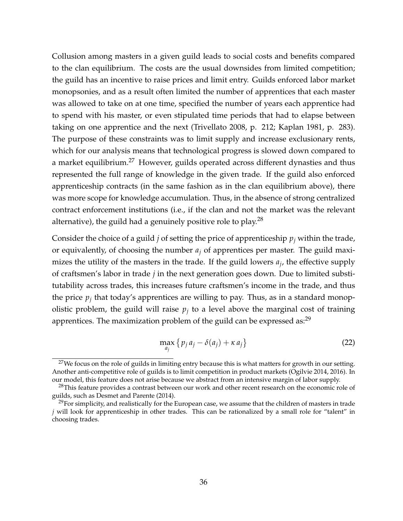Collusion among masters in a given guild leads to social costs and benefits compared to the clan equilibrium. The costs are the usual downsides from limited competition; the guild has an incentive to raise prices and limit entry. Guilds enforced labor market monopsonies, and as a result often limited the number of apprentices that each master was allowed to take on at one time, specified the number of years each apprentice had to spend with his master, or even stipulated time periods that had to elapse between taking on one apprentice and the next (Trivellato 2008, p. 212; Kaplan 1981, p. 283). The purpose of these constraints was to limit supply and increase exclusionary rents, which for our analysis means that technological progress is slowed down compared to a market equilibrium.<sup>27</sup> However, guilds operated across different dynasties and thus represented the full range of knowledge in the given trade. If the guild also enforced apprenticeship contracts (in the same fashion as in the clan equilibrium above), there was more scope for knowledge accumulation. Thus, in the absence of strong centralized contract enforcement institutions (i.e., if the clan and not the market was the relevant alternative), the guild had a genuinely positive role to play.<sup>28</sup>

Consider the choice of a guild *j* of setting the price of apprenticeship  $p_j$  within the trade, or equivalently, of choosing the number  $a_j$  of apprentices per master. The guild maximizes the utility of the masters in the trade. If the guild lowers *a<sup>j</sup>* , the effective supply of craftsmen's labor in trade *j* in the next generation goes down. Due to limited substitutability across trades, this increases future craftsmen's income in the trade, and thus the price *p<sup>j</sup>* that today's apprentices are willing to pay. Thus, as in a standard monopolistic problem, the guild will raise  $p_j$  to a level above the marginal cost of training apprentices. The maximization problem of the guild can be expressed as: $^{29}$ 

$$
\max_{a_j} \left\{ p_j a_j - \delta(a_j) + \kappa a_j \right\} \tag{22}
$$

<sup>&</sup>lt;sup>27</sup>We focus on the role of guilds in limiting entry because this is what matters for growth in our setting. Another anti-competitive role of guilds is to limit competition in product markets (Ogilvie 2014, 2016). In our model, this feature does not arise because we abstract from an intensive margin of labor supply.

<sup>&</sup>lt;sup>28</sup>This feature provides a contrast between our work and other recent research on the economic role of guilds, such as Desmet and Parente (2014).

<sup>&</sup>lt;sup>29</sup>For simplicity, and realistically for the European case, we assume that the children of masters in trade *j* will look for apprenticeship in other trades. This can be rationalized by a small role for "talent" in choosing trades.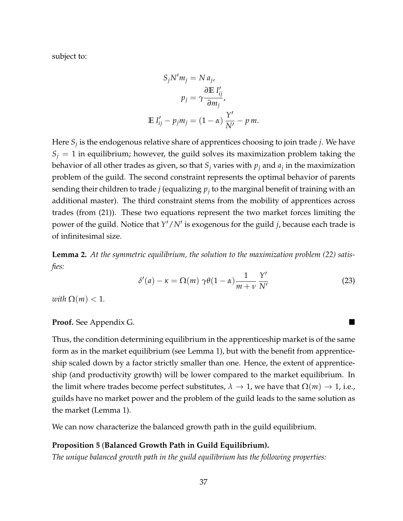subject to:

$$
S_j N'm_j = N a_j,
$$
  
\n
$$
p_j = \gamma \frac{\partial E I'_{ij}}{\partial m_j},
$$
  
\n
$$
E I'_{ij} - p_j m_j = (1 - \alpha) \frac{Y'}{N'} - p m.
$$

Here *S<sup>j</sup>* is the endogenous relative share of apprentices choosing to join trade *j*. We have  $S_i = 1$  in equilibrium; however, the guild solves its maximization problem taking the behavior of all other trades as given, so that *S<sup>j</sup>* varies with *p<sup>j</sup>* and *a<sup>j</sup>* in the maximization problem of the guild. The second constraint represents the optimal behavior of parents sending their children to trade  $j$  (equalizing  $p_j$  to the marginal benefit of training with an additional master). The third constraint stems from the mobility of apprentices across trades (from (21)). These two equations represent the two market forces limiting the power of the guild. Notice that *Y ′*/*N′* is exogenous for the guild *j*, because each trade is of infinitesimal size.

**Lemma 2.** *At the symmetric equilibrium, the solution to the maximization problem (22) satisfies:*

$$
\delta'(a) - \kappa = \Omega(m) \gamma \theta (1 - \alpha) \frac{1}{m + \nu} \frac{Y'}{N'}
$$
 (23)

*with*  $\Omega(m) < 1$ .

## **Proof.** See Appendix G.

Thus, the condition determining equilibrium in the apprenticeship market is of the same form as in the market equilibrium (see Lemma 1), but with the benefit from apprenticeship scaled down by a factor strictly smaller than one. Hence, the extent of apprenticeship (and productivity growth) will be lower compared to the market equilibrium. In the limit where trades become perfect substitutes,  $\lambda \to 1$ , we have that  $\Omega(m) \to 1$ , i.e., guilds have no market power and the problem of the guild leads to the same solution as the market (Lemma 1).

We can now characterize the balanced growth path in the guild equilibrium.

## **Proposition 5** (**Balanced Growth Path in Guild Equilibrium).**

*The unique balanced growth path in the guild equilibrium has the following properties:*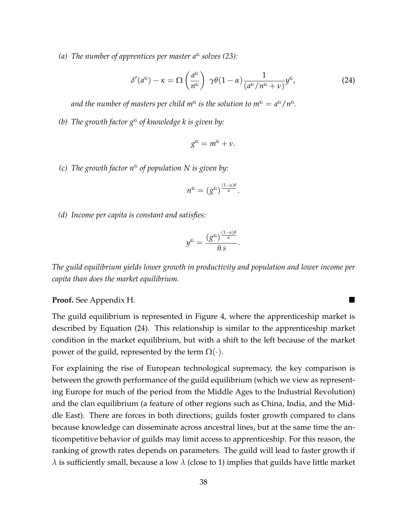*(a) The number of apprentices per master a***<sup>G</sup>** *solves (23):*

$$
\delta'(a^{\text{c}}) - \kappa = \Omega\left(\frac{a^{\text{c}}}{n^{\text{c}}}\right) \gamma \theta (1 - \alpha) \frac{1}{(a^{\text{c}}/n^{\text{c}} + \nu)} y^{\text{c}},\tag{24}
$$

and the number of masters per child m $^{\text{G}}$  is the solution to m $^{\text{G}} =$  a $^{\text{G}}$  / n $^{\text{G}}$ .

*(b) The growth factor g***<sup>G</sup>** *of knowledge k is given by:*

$$
g^{\mathsf{G}} = m^{\mathsf{G}} + \nu.
$$

*(c) The growth factor n***<sup>G</sup>** *of population N is given by:*

$$
n^{\mathsf{G}}=(g^{\mathsf{G}})^{\frac{(1-\alpha)\theta}{\alpha}}.
$$

*(d) Income per capita is constant and satisfies:*

$$
y^{\mathsf{G}} = \frac{(g^{\mathsf{G}})^{\frac{(1-\alpha)\theta}{\alpha}}}{\bar{n}\,s}.
$$

*The guild equilibrium yields lower growth in productivity and population and lower income per capita than does the market equilibrium.*

#### **Proof.** See Appendix H.

The guild equilibrium is represented in Figure 4, where the apprenticeship market is described by Equation (24). This relationship is similar to the apprenticeship market condition in the market equilibrium, but with a shift to the left because of the market power of the guild, represented by the term  $\Omega(\cdot)$ .

For explaining the rise of European technological supremacy, the key comparison is between the growth performance of the guild equilibrium (which we view as representing Europe for much of the period from the Middle Ages to the Industrial Revolution) and the clan equilibrium (a feature of other regions such as China, India, and the Middle East). There are forces in both directions; guilds foster growth compared to clans because knowledge can disseminate across ancestral lines, but at the same time the anticompetitive behavior of guilds may limit access to apprenticeship. For this reason, the ranking of growth rates depends on parameters. The guild will lead to faster growth if *λ* is sufficiently small, because a low *λ* (close to 1) implies that guilds have little market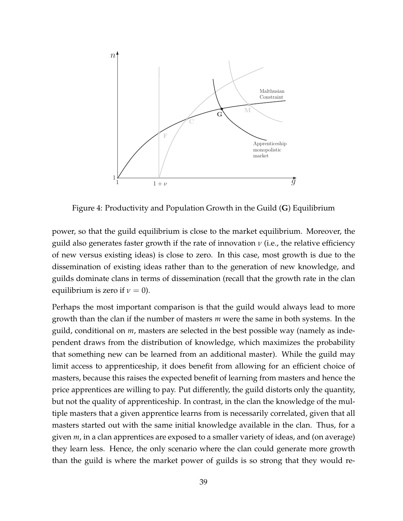

Figure 4: Productivity and Population Growth in the Guild (**G**) Equilibrium

power, so that the guild equilibrium is close to the market equilibrium. Moreover, the guild also generates faster growth if the rate of innovation *ν* (i.e., the relative efficiency of new versus existing ideas) is close to zero. In this case, most growth is due to the dissemination of existing ideas rather than to the generation of new knowledge, and guilds dominate clans in terms of dissemination (recall that the growth rate in the clan equilibrium is zero if  $\nu = 0$ ).

Perhaps the most important comparison is that the guild would always lead to more growth than the clan if the number of masters *m* were the same in both systems. In the guild, conditional on *m*, masters are selected in the best possible way (namely as independent draws from the distribution of knowledge, which maximizes the probability that something new can be learned from an additional master). While the guild may limit access to apprenticeship, it does benefit from allowing for an efficient choice of masters, because this raises the expected benefit of learning from masters and hence the price apprentices are willing to pay. Put differently, the guild distorts only the quantity, but not the quality of apprenticeship. In contrast, in the clan the knowledge of the multiple masters that a given apprentice learns from is necessarily correlated, given that all masters started out with the same initial knowledge available in the clan. Thus, for a given *m*, in a clan apprentices are exposed to a smaller variety of ideas, and (on average) they learn less. Hence, the only scenario where the clan could generate more growth than the guild is where the market power of guilds is so strong that they would re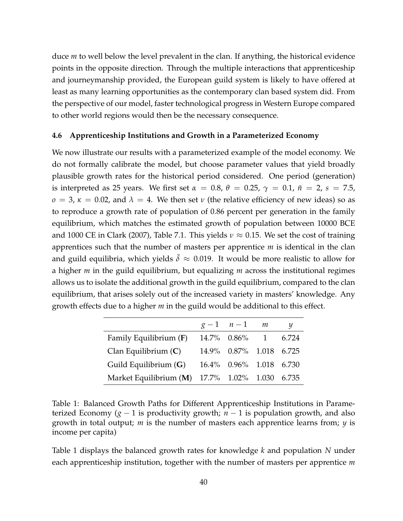duce *m* to well below the level prevalent in the clan. If anything, the historical evidence points in the opposite direction. Through the multiple interactions that apprenticeship and journeymanship provided, the European guild system is likely to have offered at least as many learning opportunities as the contemporary clan based system did. From the perspective of our model, faster technological progress in Western Europe compared to other world regions would then be the necessary consequence.

### **4.6 Apprenticeship Institutions and Growth in a Parameterized Economy**

We now illustrate our results with a parameterized example of the model economy. We do not formally calibrate the model, but choose parameter values that yield broadly plausible growth rates for the historical period considered. One period (generation) is interpreted as 25 years. We first set  $α = 0.8$ ,  $θ = 0.25$ ,  $γ = 0.1$ ,  $n = 2$ ,  $s = 7.5$ ,  $\rho = 3$ ,  $\kappa = 0.02$ , and  $\lambda = 4$ . We then set *ν* (the relative efficiency of new ideas) so as to reproduce a growth rate of population of 0.86 percent per generation in the family equilibrium, which matches the estimated growth of population between 10000 BCE and 1000 CE in Clark (2007), Table 7.1. This yields *ν ≈* 0.15. We set the cost of training apprentices such that the number of masters per apprentice *m* is identical in the clan and guild equilibria, which yields  $\delta \approx 0.019$ . It would be more realistic to allow for a higher *m* in the guild equilibrium, but equalizing *m* across the institutional regimes allows us to isolate the additional growth in the guild equilibrium, compared to the clan equilibrium, that arises solely out of the increased variety in masters' knowledge. Any growth effects due to a higher *m* in the guild would be additional to this effect.

|                                                | $g-1$ $n-1$ $m$         | u |
|------------------------------------------------|-------------------------|---|
| Family Equilibrium $(F)$                       | 14.7% 0.86% 1 6.724     |   |
| Clan Equilibrium $(C)$                         | 14.9% 0.87% 1.018 6.725 |   |
| Guild Equilibrium (G)                          | 16.4% 0.96% 1.018 6.730 |   |
| Market Equilibrium (M) 17.7% 1.02% 1.030 6.735 |                         |   |

| Table 1: Balanced Growth Paths for Different Apprenticeship Institutions in Parame-       |
|-------------------------------------------------------------------------------------------|
| terized Economy ( $g-1$ is productivity growth; $n-1$ is population growth, and also      |
| growth in total output; m is the number of masters each apprentice learns from; $\psi$ is |
| income per capita)                                                                        |

Table 1 displays the balanced growth rates for knowledge *k* and population *N* under each apprenticeship institution, together with the number of masters per apprentice *m*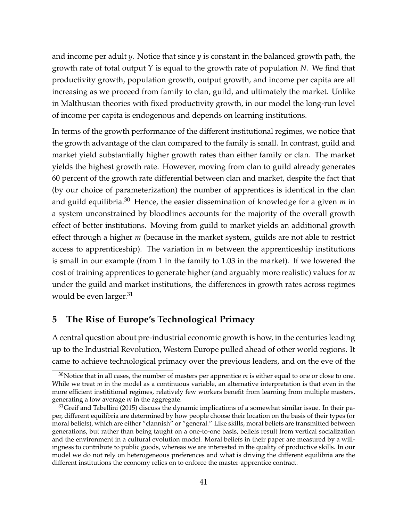and income per adult *y*. Notice that since *y* is constant in the balanced growth path, the growth rate of total output *Y* is equal to the growth rate of population *N*. We find that productivity growth, population growth, output growth, and income per capita are all increasing as we proceed from family to clan, guild, and ultimately the market. Unlike in Malthusian theories with fixed productivity growth, in our model the long-run level of income per capita is endogenous and depends on learning institutions.

In terms of the growth performance of the different institutional regimes, we notice that the growth advantage of the clan compared to the family is small. In contrast, guild and market yield substantially higher growth rates than either family or clan. The market yields the highest growth rate. However, moving from clan to guild already generates 60 percent of the growth rate differential between clan and market, despite the fact that (by our choice of parameterization) the number of apprentices is identical in the clan and guild equilibria.<sup>30</sup> Hence, the easier dissemination of knowledge for a given *m* in a system unconstrained by bloodlines accounts for the majority of the overall growth effect of better institutions. Moving from guild to market yields an additional growth effect through a higher *m* (because in the market system, guilds are not able to restrict access to apprenticeship). The variation in *m* between the apprenticeship institutions is small in our example (from 1 in the family to 1.03 in the market). If we lowered the cost of training apprentices to generate higher (and arguably more realistic) values for *m* under the guild and market institutions, the differences in growth rates across regimes would be even larger.<sup>31</sup>

# **5 The Rise of Europe's Technological Primacy**

A central question about pre-industrial economic growth is how, in the centuries leading up to the Industrial Revolution, Western Europe pulled ahead of other world regions. It came to achieve technological primacy over the previous leaders, and on the eve of the

<sup>&</sup>lt;sup>30</sup>Notice that in all cases, the number of masters per apprentice *m* is either equal to one or close to one. While we treat *m* in the model as a continuous variable, an alternative interpretation is that even in the more efficient instititional regimes, relatively few workers benefit from learning from multiple masters, generating a low average *m* in the aggregate.

 $31$ Greif and Tabellini (2015) discuss the dynamic implications of a somewhat similar issue. In their paper, different equilibria are determined by how people choose their location on the basis of their types (or moral beliefs), which are either "clannish" or "general." Like skills, moral beliefs are transmitted between generations, but rather than being taught on a one-to-one basis, beliefs result from vertical socialization and the environment in a cultural evolution model. Moral beliefs in their paper are measured by a willingness to contribute to public goods, whereas we are interested in the quality of productive skills. In our model we do not rely on heterogeneous preferences and what is driving the different equilibria are the different institutions the economy relies on to enforce the master-apprentice contract.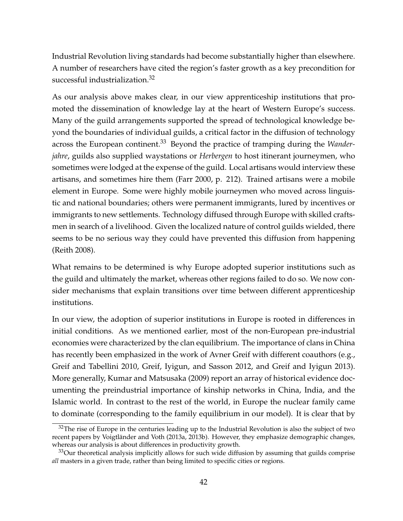Industrial Revolution living standards had become substantially higher than elsewhere. A number of researchers have cited the region's faster growth as a key precondition for successful industrialization.<sup>32</sup>

As our analysis above makes clear, in our view apprenticeship institutions that promoted the dissemination of knowledge lay at the heart of Western Europe's success. Many of the guild arrangements supported the spread of technological knowledge beyond the boundaries of individual guilds, a critical factor in the diffusion of technology across the European continent.<sup>33</sup> Beyond the practice of tramping during the *Wanderjahre*, guilds also supplied waystations or *Herbergen* to host itinerant journeymen, who sometimes were lodged at the expense of the guild. Local artisans would interview these artisans, and sometimes hire them (Farr 2000, p. 212). Trained artisans were a mobile element in Europe. Some were highly mobile journeymen who moved across linguistic and national boundaries; others were permanent immigrants, lured by incentives or immigrants to new settlements. Technology diffused through Europe with skilled craftsmen in search of a livelihood. Given the localized nature of control guilds wielded, there seems to be no serious way they could have prevented this diffusion from happening (Reith 2008).

What remains to be determined is why Europe adopted superior institutions such as the guild and ultimately the market, whereas other regions failed to do so. We now consider mechanisms that explain transitions over time between different apprenticeship institutions.

In our view, the adoption of superior institutions in Europe is rooted in differences in initial conditions. As we mentioned earlier, most of the non-European pre-industrial economies were characterized by the clan equilibrium. The importance of clans in China has recently been emphasized in the work of Avner Greif with different coauthors (e.g., Greif and Tabellini 2010, Greif, Iyigun, and Sasson 2012, and Greif and Iyigun 2013). More generally, Kumar and Matsusaka (2009) report an array of historical evidence documenting the preindustrial importance of kinship networks in China, India, and the Islamic world. In contrast to the rest of the world, in Europe the nuclear family came to dominate (corresponding to the family equilibrium in our model). It is clear that by

<sup>&</sup>lt;sup>32</sup>The rise of Europe in the centuries leading up to the Industrial Revolution is also the subject of two recent papers by Voigtländer and Voth (2013a, 2013b). However, they emphasize demographic changes, whereas our analysis is about differences in productivity growth.

 $33$ Our theoretical analysis implicitly allows for such wide diffusion by assuming that guilds comprise *all* masters in a given trade, rather than being limited to specific cities or regions.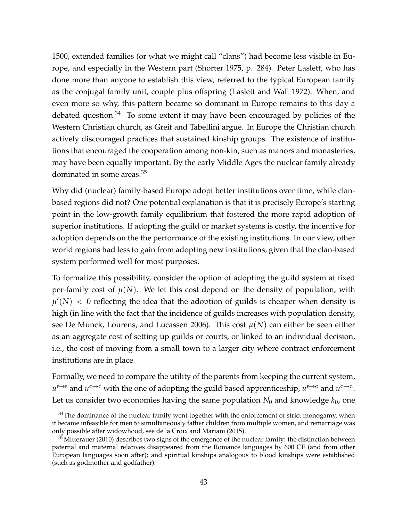1500, extended families (or what we might call "clans") had become less visible in Europe, and especially in the Western part (Shorter 1975, p. 284). Peter Laslett, who has done more than anyone to establish this view, referred to the typical European family as the conjugal family unit, couple plus offspring (Laslett and Wall 1972). When, and even more so why, this pattern became so dominant in Europe remains to this day a debated question.<sup>34</sup> To some extent it may have been encouraged by policies of the Western Christian church, as Greif and Tabellini argue. In Europe the Christian church actively discouraged practices that sustained kinship groups. The existence of institutions that encouraged the cooperation among non-kin, such as manors and monasteries, may have been equally important. By the early Middle Ages the nuclear family already dominated in some areas.<sup>35</sup>

Why did (nuclear) family-based Europe adopt better institutions over time, while clanbased regions did not? One potential explanation is that it is precisely Europe's starting point in the low-growth family equilibrium that fostered the more rapid adoption of superior institutions. If adopting the guild or market systems is costly, the incentive for adoption depends on the the performance of the existing institutions. In our view, other world regions had less to gain from adopting new institutions, given that the clan-based system performed well for most purposes.

To formalize this possibility, consider the option of adopting the guild system at fixed per-family cost of  $\mu(N)$ . We let this cost depend on the density of population, with  $\mu'(N) < 0$  reflecting the idea that the adoption of guilds is cheaper when density is high (in line with the fact that the incidence of guilds increases with population density, see De Munck, Lourens, and Lucassen 2006). This cost  $\mu(N)$  can either be seen either as an aggregate cost of setting up guilds or courts, or linked to an individual decision, i.e., the cost of moving from a small town to a larger city where contract enforcement institutions are in place.

Formally, we need to compare the utility of the parents from keeping the current system,  $u^{\text{F}\to\text{F}}$  and  $u^{\text{C}\to\text{C}}$  with the one of adopting the guild based apprenticeship,  $u^{\text{F}\to\text{G}}$  and  $u^{\text{C}\to\text{G}}$ . Let us consider two economies having the same population  $N_0$  and knowledge  $k_0$ , one

 $34$ The dominance of the nuclear family went together with the enforcement of strict monogamy, when it became infeasible for men to simultaneously father children from multiple women, and remarriage was only possible after widowhood, see de la Croix and Mariani (2015).

 $35$ Mitterauer (2010) describes two signs of the emergence of the nuclear family: the distinction between paternal and maternal relatives disappeared from the Romance languages by 600 CE (and from other European languages soon after); and spiritual kinships analogous to blood kinships were established (such as godmother and godfather).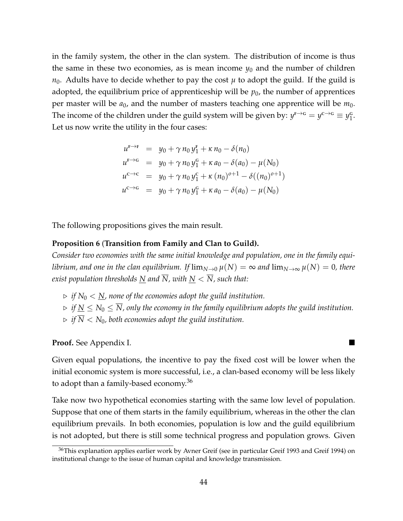in the family system, the other in the clan system. The distribution of income is thus the same in these two economies, as is mean income  $y_0$  and the number of children  $n_0$ . Adults have to decide whether to pay the cost  $\mu$  to adopt the guild. If the guild is adopted, the equilibrium price of apprenticeship will be  $p_0$ , the number of apprentices per master will be  $a_0$ , and the number of masters teaching one apprentice will be  $m_0$ . The income of the children under the guild system will be given by:  $y^{F\to G} = y^{C\to G} \equiv y_1^G$ . Let us now write the utility in the four cases:

$$
u^{F\to F} = y_0 + \gamma n_0 y_1^F + \kappa n_0 - \delta(n_0)
$$
  
\n
$$
u^{F\to G} = y_0 + \gamma n_0 y_1^G + \kappa a_0 - \delta(a_0) - \mu(N_0)
$$
  
\n
$$
u^{C\to C} = y_0 + \gamma n_0 y_1^C + \kappa (n_0)^{o+1} - \delta((n_0)^{o+1})
$$
  
\n
$$
u^{C\to G} = y_0 + \gamma n_0 y_1^G + \kappa a_0 - \delta(a_0) - \mu(N_0)
$$

The following propositions gives the main result.

### **Proposition 6** (**Transition from Family and Clan to Guild).**

*Consider two economies with the same initial knowledge and population, one in the family equilibrium, and one in the clan equilibrium. If*  $\lim_{N\to 0} \mu(N) = \infty$  *and*  $\lim_{N\to\infty} \mu(N) = 0$ *, there exist population thresholds*  $\overline{N}$  *and*  $\overline{N}$ *, with*  $\overline{N}$   $\lt \overline{N}$ *, such that:* 

- $\triangleright$  *if*  $N_0 < N$ , none of the economies adopt the guild institution.
- $\triangleright$  *if*  $N \leq N_0 \leq N$ , only the economy in the family equilibrium adopts the guild institution.
- $\triangleright$  *if*  $N < N_0$ , both economies adopt the guild institution.

**Proof.** See Appendix I.

Given equal populations, the incentive to pay the fixed cost will be lower when the initial economic system is more successful, i.e., a clan-based economy will be less likely to adopt than a family-based economy.<sup>36</sup>

Take now two hypothetical economies starting with the same low level of population. Suppose that one of them starts in the family equilibrium, whereas in the other the clan equilibrium prevails. In both economies, population is low and the guild equilibrium is not adopted, but there is still some technical progress and population grows. Given

<sup>&</sup>lt;sup>36</sup>This explanation applies earlier work by Avner Greif (see in particular Greif 1993 and Greif 1994) on institutional change to the issue of human capital and knowledge transmission.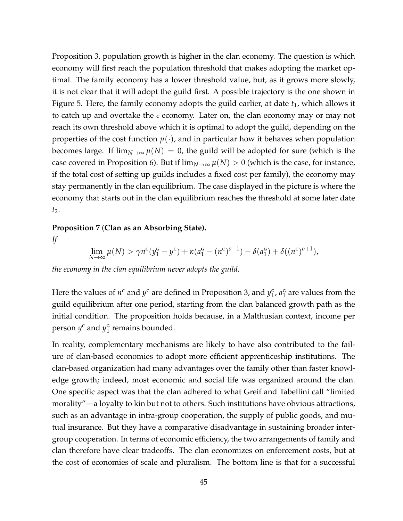Proposition 3, population growth is higher in the clan economy. The question is which economy will first reach the population threshold that makes adopting the market optimal. The family economy has a lower threshold value, but, as it grows more slowly, it is not clear that it will adopt the guild first. A possible trajectory is the one shown in Figure 5. Here, the family economy adopts the guild earlier, at date  $t_1$ , which allows it to catch up and overtake the c economy. Later on, the clan economy may or may not reach its own threshold above which it is optimal to adopt the guild, depending on the properties of the cost function  $\mu(\cdot)$ , and in particular how it behaves when population becomes large. If  $\lim_{N\to\infty}\mu(N)=0$ , the guild will be adopted for sure (which is the case covered in Proposition 6). But if  $\lim_{N\to\infty} \mu(N) > 0$  (which is the case, for instance, if the total cost of setting up guilds includes a fixed cost per family), the economy may stay permanently in the clan equilibrium. The case displayed in the picture is where the economy that starts out in the clan equilibrium reaches the threshold at some later date *t*2.

### **Proposition 7** (**Clan as an Absorbing State).**

*If*

$$
\lim_{N \to \infty} \mu(N) > \gamma n^{c} (y_{1}^{c} - y^{c}) + \kappa (a_{1}^{c} - (n^{c})^{o+1}) - \delta (a_{1}^{c}) + \delta ((n^{c})^{o+1}),
$$

*the economy in the clan equilibrium never adopts the guild.*

Here the values of  $n^{\text{c}}$  and  $y^{\text{c}}$  are defined in Proposition 3, and  $y^{\text{c}}_1$ ,  $a^{\text{c}}_1$  are values from the guild equilibrium after one period, starting from the clan balanced growth path as the initial condition. The proposition holds because, in a Malthusian context, income per person  $y^{\text{c}}$  and  $y^{\text{c}}_1$  remains bounded.

In reality, complementary mechanisms are likely to have also contributed to the failure of clan-based economies to adopt more efficient apprenticeship institutions. The clan-based organization had many advantages over the family other than faster knowledge growth; indeed, most economic and social life was organized around the clan. One specific aspect was that the clan adhered to what Greif and Tabellini call "limited morality"—a loyalty to kin but not to others. Such institutions have obvious attractions, such as an advantage in intra-group cooperation, the supply of public goods, and mutual insurance. But they have a comparative disadvantage in sustaining broader intergroup cooperation. In terms of economic efficiency, the two arrangements of family and clan therefore have clear tradeoffs. The clan economizes on enforcement costs, but at the cost of economies of scale and pluralism. The bottom line is that for a successful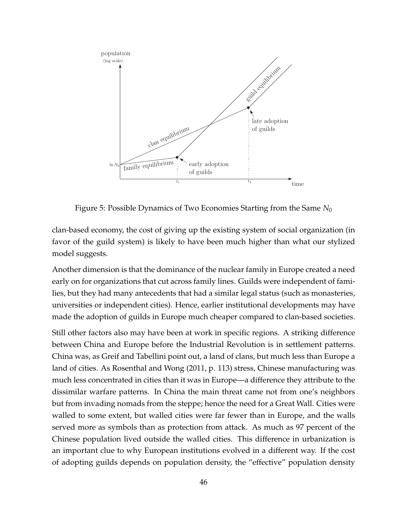

Figure 5: Possible Dynamics of Two Economies Starting from the Same *N*<sup>0</sup>

clan-based economy, the cost of giving up the existing system of social organization (in favor of the guild system) is likely to have been much higher than what our stylized model suggests.

Another dimension is that the dominance of the nuclear family in Europe created a need early on for organizations that cut across family lines. Guilds were independent of families, but they had many antecedents that had a similar legal status (such as monasteries, universities or independent cities). Hence, earlier institutional developments may have made the adoption of guilds in Europe much cheaper compared to clan-based societies.

Still other factors also may have been at work in specific regions. A striking difference between China and Europe before the Industrial Revolution is in settlement patterns. China was, as Greif and Tabellini point out, a land of clans, but much less than Europe a land of cities. As Rosenthal and Wong (2011, p. 113) stress, Chinese manufacturing was much less concentrated in cities than it was in Europe—a difference they attribute to the dissimilar warfare patterns. In China the main threat came not from one's neighbors but from invading nomads from the steppe; hence the need for a Great Wall. Cities were walled to some extent, but walled cities were far fewer than in Europe, and the walls served more as symbols than as protection from attack. As much as 97 percent of the Chinese population lived outside the walled cities. This difference in urbanization is an important clue to why European institutions evolved in a different way. If the cost of adopting guilds depends on population density, the "effective" population density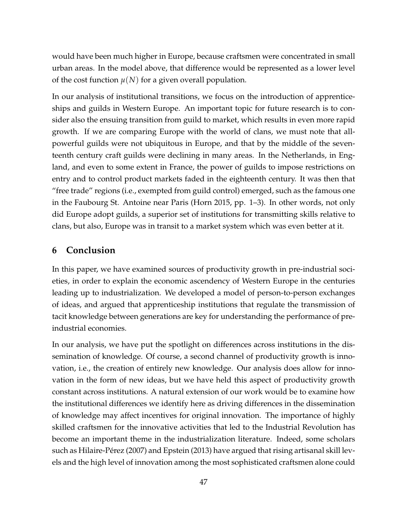would have been much higher in Europe, because craftsmen were concentrated in small urban areas. In the model above, that difference would be represented as a lower level of the cost function  $\mu(N)$  for a given overall population.

In our analysis of institutional transitions, we focus on the introduction of apprenticeships and guilds in Western Europe. An important topic for future research is to consider also the ensuing transition from guild to market, which results in even more rapid growth. If we are comparing Europe with the world of clans, we must note that allpowerful guilds were not ubiquitous in Europe, and that by the middle of the seventeenth century craft guilds were declining in many areas. In the Netherlands, in England, and even to some extent in France, the power of guilds to impose restrictions on entry and to control product markets faded in the eighteenth century. It was then that "free trade" regions (i.e., exempted from guild control) emerged, such as the famous one in the Faubourg St. Antoine near Paris (Horn 2015, pp. 1–3). In other words, not only did Europe adopt guilds, a superior set of institutions for transmitting skills relative to clans, but also, Europe was in transit to a market system which was even better at it.

# **6 Conclusion**

In this paper, we have examined sources of productivity growth in pre-industrial societies, in order to explain the economic ascendency of Western Europe in the centuries leading up to industrialization. We developed a model of person-to-person exchanges of ideas, and argued that apprenticeship institutions that regulate the transmission of tacit knowledge between generations are key for understanding the performance of preindustrial economies.

In our analysis, we have put the spotlight on differences across institutions in the dissemination of knowledge. Of course, a second channel of productivity growth is innovation, i.e., the creation of entirely new knowledge. Our analysis does allow for innovation in the form of new ideas, but we have held this aspect of productivity growth constant across institutions. A natural extension of our work would be to examine how the institutional differences we identify here as driving differences in the dissemination of knowledge may affect incentives for original innovation. The importance of highly skilled craftsmen for the innovative activities that led to the Industrial Revolution has become an important theme in the industrialization literature. Indeed, some scholars such as Hilaire-Perez (2007) and Epstein (2013) have argued that rising artisanal skill lev- ´ els and the high level of innovation among the most sophisticated craftsmen alone could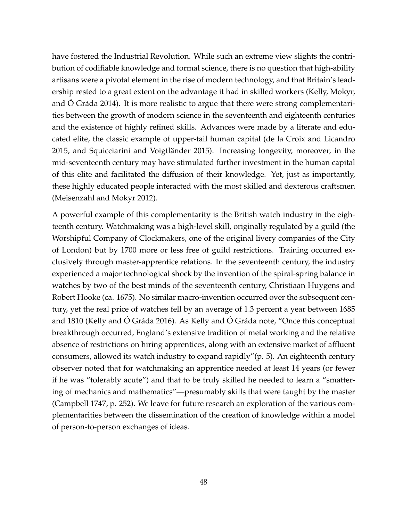have fostered the Industrial Revolution. While such an extreme view slights the contribution of codifiable knowledge and formal science, there is no question that high-ability artisans were a pivotal element in the rise of modern technology, and that Britain's leadership rested to a great extent on the advantage it had in skilled workers (Kelly, Mokyr, and  $\overline{O}$  Gráda 2014). It is more realistic to argue that there were strong complementarities between the growth of modern science in the seventeenth and eighteenth centuries and the existence of highly refined skills. Advances were made by a literate and educated elite, the classic example of upper-tail human capital (de la Croix and Licandro 2015, and Squicciarini and Voigtländer 2015). Increasing longevity, moreover, in the mid-seventeenth century may have stimulated further investment in the human capital of this elite and facilitated the diffusion of their knowledge. Yet, just as importantly, these highly educated people interacted with the most skilled and dexterous craftsmen (Meisenzahl and Mokyr 2012).

A powerful example of this complementarity is the British watch industry in the eighteenth century. Watchmaking was a high-level skill, originally regulated by a guild (the Worshipful Company of Clockmakers, one of the original livery companies of the City of London) but by 1700 more or less free of guild restrictions. Training occurred exclusively through master-apprentice relations. In the seventeenth century, the industry experienced a major technological shock by the invention of the spiral-spring balance in watches by two of the best minds of the seventeenth century, Christiaan Huygens and Robert Hooke (ca. 1675). No similar macro-invention occurred over the subsequent century, yet the real price of watches fell by an average of 1.3 percent a year between 1685 and 1810 (Kelly and Ó Gráda 2016). As Kelly and Ó Gráda note, "Once this conceptual breakthrough occurred, England's extensive tradition of metal working and the relative absence of restrictions on hiring apprentices, along with an extensive market of affluent consumers, allowed its watch industry to expand rapidly"(p. 5). An eighteenth century observer noted that for watchmaking an apprentice needed at least 14 years (or fewer if he was "tolerably acute") and that to be truly skilled he needed to learn a "smattering of mechanics and mathematics"—presumably skills that were taught by the master (Campbell 1747, p. 252). We leave for future research an exploration of the various complementarities between the dissemination of the creation of knowledge within a model of person-to-person exchanges of ideas.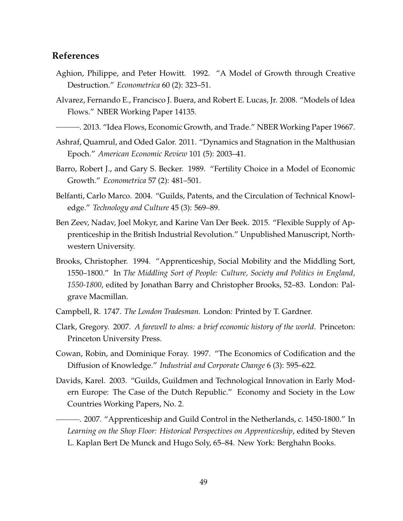## **References**

- Aghion, Philippe, and Peter Howitt. 1992. "A Model of Growth through Creative Destruction." *Econometrica* 60 (2): 323–51.
- Alvarez, Fernando E., Francisco J. Buera, and Robert E. Lucas, Jr. 2008. "Models of Idea Flows." NBER Working Paper 14135.
- . 2013. "Idea Flows, Economic Growth, and Trade." NBER Working Paper 19667.
- Ashraf, Quamrul, and Oded Galor. 2011. "Dynamics and Stagnation in the Malthusian Epoch." *American Economic Review* 101 (5): 2003–41.
- Barro, Robert J., and Gary S. Becker. 1989. "Fertility Choice in a Model of Economic Growth." *Econometrica* 57 (2): 481–501.
- Belfanti, Carlo Marco. 2004. "Guilds, Patents, and the Circulation of Technical Knowledge." *Technology and Culture* 45 (3): 569–89.
- Ben Zeev, Nadav, Joel Mokyr, and Karine Van Der Beek. 2015. "Flexible Supply of Apprenticeship in the British Industrial Revolution." Unpublished Manuscript, Northwestern University.
- Brooks, Christopher. 1994. "Apprenticeship, Social Mobility and the Middling Sort, 1550–1800." In *The Middling Sort of People: Culture, Society and Politics in England, 1550-1800*, edited by Jonathan Barry and Christopher Brooks, 52–83. London: Palgrave Macmillan.
- Campbell, R. 1747. *The London Tradesman*. London: Printed by T. Gardner.
- Clark, Gregory. 2007. *A farewell to alms: a brief economic history of the world*. Princeton: Princeton University Press.
- Cowan, Robin, and Dominique Foray. 1997. "The Economics of Codification and the Diffusion of Knowledge." *Industrial and Corporate Change* 6 (3): 595–622.
- Davids, Karel. 2003. "Guilds, Guildmen and Technological Innovation in Early Modern Europe: The Case of the Dutch Republic." Economy and Society in the Low Countries Working Papers, No. 2.

. 2007. "Apprenticeship and Guild Control in the Netherlands, c. 1450-1800." In *Learning on the Shop Floor: Historical Perspectives on Apprenticeship*, edited by Steven L. Kaplan Bert De Munck and Hugo Soly, 65–84. New York: Berghahn Books.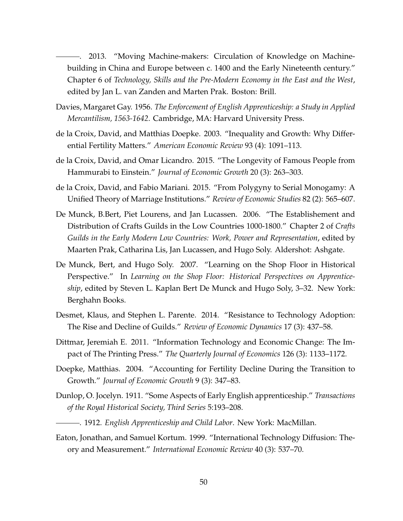. 2013. "Moving Machine-makers: Circulation of Knowledge on Machinebuilding in China and Europe between c. 1400 and the Early Nineteenth century." Chapter 6 of *Technology, Skills and the Pre-Modern Economy in the East and the West*, edited by Jan L. van Zanden and Marten Prak. Boston: Brill.

- Davies, Margaret Gay. 1956. *The Enforcement of English Apprenticeship: a Study in Applied Mercantilism, 1563-1642*. Cambridge, MA: Harvard University Press.
- de la Croix, David, and Matthias Doepke. 2003. "Inequality and Growth: Why Differential Fertility Matters." *American Economic Review* 93 (4): 1091–113.
- de la Croix, David, and Omar Licandro. 2015. "The Longevity of Famous People from Hammurabi to Einstein." *Journal of Economic Growth* 20 (3): 263–303.
- de la Croix, David, and Fabio Mariani. 2015. "From Polygyny to Serial Monogamy: A Unified Theory of Marriage Institutions." *Review of Economic Studies* 82 (2): 565–607.
- De Munck, B.Bert, Piet Lourens, and Jan Lucassen. 2006. "The Establishement and Distribution of Crafts Guilds in the Low Countries 1000-1800." Chapter 2 of *Crafts Guilds in the Early Modern Low Countries: Work, Power and Representation*, edited by Maarten Prak, Catharina Lis, Jan Lucassen, and Hugo Soly. Aldershot: Ashgate.
- De Munck, Bert, and Hugo Soly. 2007. "Learning on the Shop Floor in Historical Perspective." In *Learning on the Shop Floor: Historical Perspectives on Apprenticeship*, edited by Steven L. Kaplan Bert De Munck and Hugo Soly, 3–32. New York: Berghahn Books.
- Desmet, Klaus, and Stephen L. Parente. 2014. "Resistance to Technology Adoption: The Rise and Decline of Guilds." *Review of Economic Dynamics* 17 (3): 437–58.
- Dittmar, Jeremiah E. 2011. "Information Technology and Economic Change: The Impact of The Printing Press." *The Quarterly Journal of Economics* 126 (3): 1133–1172.
- Doepke, Matthias. 2004. "Accounting for Fertility Decline During the Transition to Growth." *Journal of Economic Growth* 9 (3): 347–83.
- Dunlop, O. Jocelyn. 1911. "Some Aspects of Early English apprenticeship." *Transactions of the Royal Historical Society, Third Series* 5:193–208.
- . 1912. *English Apprenticeship and Child Labor*. New York: MacMillan.
- Eaton, Jonathan, and Samuel Kortum. 1999. "International Technology Diffusion: Theory and Measurement." *International Economic Review* 40 (3): 537–70.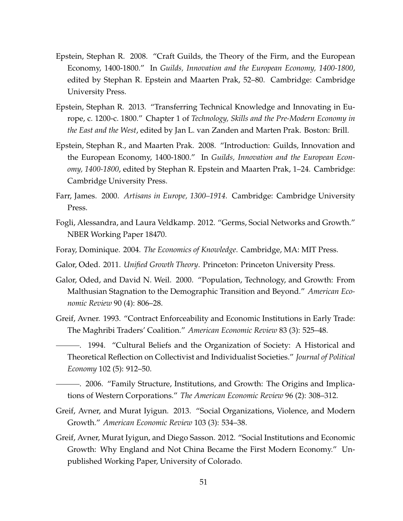- Epstein, Stephan R. 2008. "Craft Guilds, the Theory of the Firm, and the European Economy, 1400-1800." In *Guilds, Innovation and the European Economy, 1400-1800*, edited by Stephan R. Epstein and Maarten Prak, 52–80. Cambridge: Cambridge University Press.
- Epstein, Stephan R. 2013. "Transferring Technical Knowledge and Innovating in Europe, c. 1200-c. 1800." Chapter 1 of *Technology, Skills and the Pre-Modern Economy in the East and the West*, edited by Jan L. van Zanden and Marten Prak. Boston: Brill.
- Epstein, Stephan R., and Maarten Prak. 2008. "Introduction: Guilds, Innovation and the European Economy, 1400-1800." In *Guilds, Innovation and the European Economy, 1400-1800*, edited by Stephan R. Epstein and Maarten Prak, 1–24. Cambridge: Cambridge University Press.
- Farr, James. 2000. *Artisans in Europe, 1300–1914*. Cambridge: Cambridge University Press.
- Fogli, Alessandra, and Laura Veldkamp. 2012. "Germs, Social Networks and Growth." NBER Working Paper 18470.
- Foray, Dominique. 2004. *The Economics of Knowledge*. Cambridge, MA: MIT Press.
- Galor, Oded. 2011. *Unified Growth Theory*. Princeton: Princeton University Press.
- Galor, Oded, and David N. Weil. 2000. "Population, Technology, and Growth: From Malthusian Stagnation to the Demographic Transition and Beyond." *American Economic Review* 90 (4): 806–28.
- Greif, Avner. 1993. "Contract Enforceability and Economic Institutions in Early Trade: The Maghribi Traders' Coalition." *American Economic Review* 83 (3): 525–48.
	- . 1994. "Cultural Beliefs and the Organization of Society: A Historical and Theoretical Reflection on Collectivist and Individualist Societies." *Journal of Political Economy* 102 (5): 912–50.
- . 2006. "Family Structure, Institutions, and Growth: The Origins and Implications of Western Corporations." *The American Economic Review* 96 (2): 308–312.
- Greif, Avner, and Murat Iyigun. 2013. "Social Organizations, Violence, and Modern Growth." *American Economic Review* 103 (3): 534–38.
- Greif, Avner, Murat Iyigun, and Diego Sasson. 2012. "Social Institutions and Economic Growth: Why England and Not China Became the First Modern Economy." Unpublished Working Paper, University of Colorado.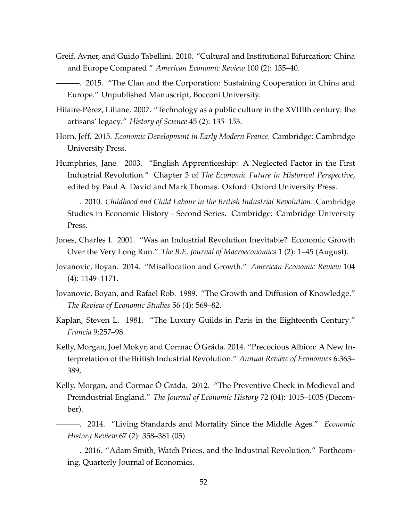Greif, Avner, and Guido Tabellini. 2010. "Cultural and Institutional Bifurcation: China and Europe Compared." *American Economic Review* 100 (2): 135–40.

. 2015. "The Clan and the Corporation: Sustaining Cooperation in China and Europe." Unpublished Manuscript, Bocconi University.

- Hilaire-Pérez, Liliane. 2007. "Technology as a public culture in the XVIIIth century: the artisans' legacy." *History of Science* 45 (2): 135–153.
- Horn, Jeff. 2015. *Economic Development in Early Modern France*. Cambridge: Cambridge University Press.
- Humphries, Jane. 2003. "English Apprenticeship: A Neglected Factor in the First Industrial Revolution." Chapter 3 of *The Economic Future in Historical Perspective*, edited by Paul A. David and Mark Thomas. Oxford: Oxford University Press.

. 2010. *Childhood and Child Labour in the British Industrial Revolution*. Cambridge Studies in Economic History - Second Series. Cambridge: Cambridge University Press.

- Jones, Charles I. 2001. "Was an Industrial Revolution Inevitable? Economic Growth Over the Very Long Run." *The B.E. Journal of Macroeconomics* 1 (2): 1–45 (August).
- Jovanovic, Boyan. 2014. "Misallocation and Growth." *American Economic Review* 104 (4): 1149–1171.
- Jovanovic, Boyan, and Rafael Rob. 1989. "The Growth and Diffusion of Knowledge." *The Review of Economic Studies* 56 (4): 569–82.
- Kaplan, Steven L. 1981. "The Luxury Guilds in Paris in the Eighteenth Century." *Francia* 9:257–98.
- Kelly, Morgan, Joel Mokyr, and Cormac Ó Gráda. 2014. "Precocious Albion: A New Interpretation of the British Industrial Revolution." *Annual Review of Economics* 6:363– 389.
- Kelly, Morgan, and Cormac O Gráda. 2012. "The Preventive Check in Medieval and Preindustrial England." *The Journal of Economic History* 72 (04): 1015–1035 (December).
- . 2014. "Living Standards and Mortality Since the Middle Ages." *Economic History Review* 67 (2): 358–381 (05).
- . 2016. "Adam Smith, Watch Prices, and the Industrial Revolution." Forthcoming, Quarterly Journal of Economics.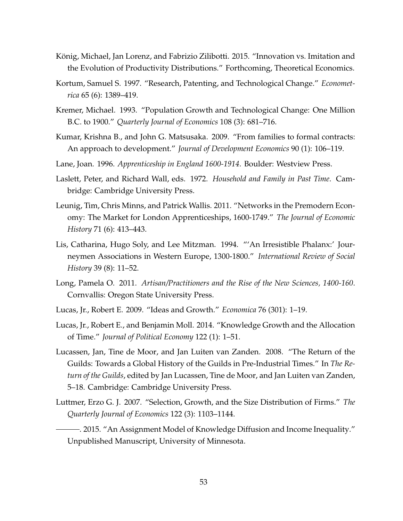- König, Michael, Jan Lorenz, and Fabrizio Zilibotti. 2015. "Innovation vs. Imitation and the Evolution of Productivity Distributions." Forthcoming, Theoretical Economics.
- Kortum, Samuel S. 1997. "Research, Patenting, and Technological Change." *Econometrica* 65 (6): 1389–419.
- Kremer, Michael. 1993. "Population Growth and Technological Change: One Million B.C. to 1900." *Quarterly Journal of Economics* 108 (3): 681–716.
- Kumar, Krishna B., and John G. Matsusaka. 2009. "From families to formal contracts: An approach to development." *Journal of Development Economics* 90 (1): 106–119.
- Lane, Joan. 1996. *Apprenticeship in England 1600-1914*. Boulder: Westview Press.
- Laslett, Peter, and Richard Wall, eds. 1972. *Household and Family in Past Time*. Cambridge: Cambridge University Press.
- Leunig, Tim, Chris Minns, and Patrick Wallis. 2011. "Networks in the Premodern Economy: The Market for London Apprenticeships, 1600-1749." *The Journal of Economic History* 71 (6): 413–443.
- Lis, Catharina, Hugo Soly, and Lee Mitzman. 1994. "'An Irresistible Phalanx:' Journeymen Associations in Western Europe, 1300-1800." *International Review of Social History* 39 (8): 11–52.
- Long, Pamela O. 2011. *Artisan/Practitioners and the Rise of the New Sciences, 1400-160*. Cornvallis: Oregon State University Press.
- Lucas, Jr., Robert E. 2009. "Ideas and Growth." *Economica* 76 (301): 1–19.
- Lucas, Jr., Robert E., and Benjamin Moll. 2014. "Knowledge Growth and the Allocation of Time." *Journal of Political Economy* 122 (1): 1–51.
- Lucassen, Jan, Tine de Moor, and Jan Luiten van Zanden. 2008. "The Return of the Guilds: Towards a Global History of the Guilds in Pre-Industrial Times." In *The Return of the Guilds*, edited by Jan Lucassen, Tine de Moor, and Jan Luiten van Zanden, 5–18. Cambridge: Cambridge University Press.
- Luttmer, Erzo G. J. 2007. "Selection, Growth, and the Size Distribution of Firms." *The Quarterly Journal of Economics* 122 (3): 1103–1144.
- . 2015. "An Assignment Model of Knowledge Diffusion and Income Inequality." Unpublished Manuscript, University of Minnesota.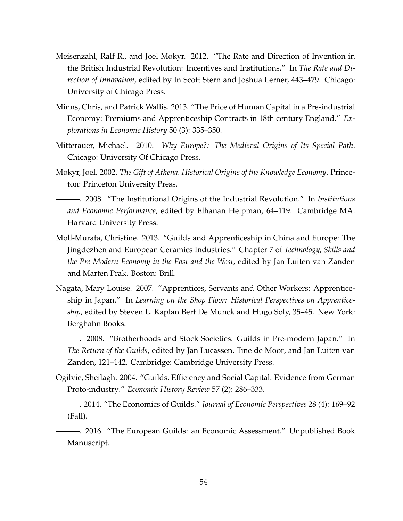- Meisenzahl, Ralf R., and Joel Mokyr. 2012. "The Rate and Direction of Invention in the British Industrial Revolution: Incentives and Institutions." In *The Rate and Direction of Innovation*, edited by In Scott Stern and Joshua Lerner, 443–479. Chicago: University of Chicago Press.
- Minns, Chris, and Patrick Wallis. 2013. "The Price of Human Capital in a Pre-industrial Economy: Premiums and Apprenticeship Contracts in 18th century England." *Explorations in Economic History* 50 (3): 335–350.
- Mitterauer, Michael. 2010. *Why Europe?: The Medieval Origins of Its Special Path*. Chicago: University Of Chicago Press.
- Mokyr, Joel. 2002. *The Gift of Athena. Historical Origins of the Knowledge Economy*. Princeton: Princeton University Press.
- . 2008. "The Institutional Origins of the Industrial Revolution." In *Institutions and Economic Performance*, edited by Elhanan Helpman, 64–119. Cambridge MA: Harvard University Press.
- Moll-Murata, Christine. 2013. "Guilds and Apprenticeship in China and Europe: The Jingdezhen and European Ceramics Industries." Chapter 7 of *Technology, Skills and the Pre-Modern Economy in the East and the West*, edited by Jan Luiten van Zanden and Marten Prak. Boston: Brill.
- Nagata, Mary Louise. 2007. "Apprentices, Servants and Other Workers: Apprenticeship in Japan." In *Learning on the Shop Floor: Historical Perspectives on Apprenticeship*, edited by Steven L. Kaplan Bert De Munck and Hugo Soly, 35–45. New York: Berghahn Books.
- . 2008. "Brotherhoods and Stock Societies: Guilds in Pre-modern Japan." In *The Return of the Guilds*, edited by Jan Lucassen, Tine de Moor, and Jan Luiten van Zanden, 121–142. Cambridge: Cambridge University Press.
- Ogilvie, Sheilagh. 2004. "Guilds, Efficiency and Social Capital: Evidence from German Proto-industry." *Economic History Review* 57 (2): 286–333.
- . 2014. "The Economics of Guilds." *Journal of Economic Perspectives* 28 (4): 169–92 (Fall).
	- . 2016. "The European Guilds: an Economic Assessment." Unpublished Book Manuscript.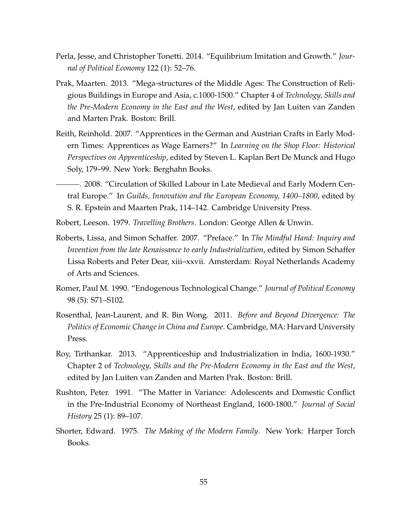- Perla, Jesse, and Christopher Tonetti. 2014. "Equilibrium Imitation and Growth." *Journal of Political Economy* 122 (1): 52–76.
- Prak, Maarten. 2013. "Mega-structures of the Middle Ages: The Construction of Religious Buildings in Europe and Asia, c.1000-1500." Chapter 4 of *Technology, Skills and the Pre-Modern Economy in the East and the West*, edited by Jan Luiten van Zanden and Marten Prak. Boston: Brill.
- Reith, Reinhold. 2007. "Apprentices in the German and Austrian Crafts in Early Modern Times: Apprentices as Wage Earners?" In *Learning on the Shop Floor: Historical Perspectives on Apprenticeship*, edited by Steven L. Kaplan Bert De Munck and Hugo Soly, 179–99. New York: Berghahn Books.
- . 2008. "Circulation of Skilled Labour in Late Medieval and Early Modern Central Europe." In *Guilds, Innovation and the European Economy, 1400–1800*, edited by S. R. Epstein and Maarten Prak, 114–142. Cambridge University Press.
- Robert, Leeson. 1979. *Travelling Brothers*. London: George Allen & Unwin.
- Roberts, Lissa, and Simon Schaffer. 2007. "Preface." In *The Mindful Hand: Inquiry and Invention from the late Renaissance to early Industrialization*, edited by Simon Schaffer Lissa Roberts and Peter Dear, xiii–xxvii. Amsterdam: Royal Netherlands Academy of Arts and Sciences.
- Romer, Paul M. 1990. "Endogenous Technological Change." *Journal of Political Economy* 98 (5): S71–S102.
- Rosenthal, Jean-Laurent, and R. Bin Wong. 2011. *Before and Beyond Divergence: The Politics of Economic Change in China and Europe*. Cambridge, MA: Harvard University Press.
- Roy, Tirthankar. 2013. "Apprenticeship and Industrialization in India, 1600-1930." Chapter 2 of *Technology, Skills and the Pre-Modern Economy in the East and the West*, edited by Jan Luiten van Zanden and Marten Prak. Boston: Brill.
- Rushton, Peter. 1991. "The Matter in Variance: Adolescents and Domestic Conflict in the Pre-Industrial Economy of Northeast England, 1600-1800." *Journal of Social History* 25 (1): 89–107.
- Shorter, Edward. 1975. *The Making of the Modern Family*. New York: Harper Torch Books.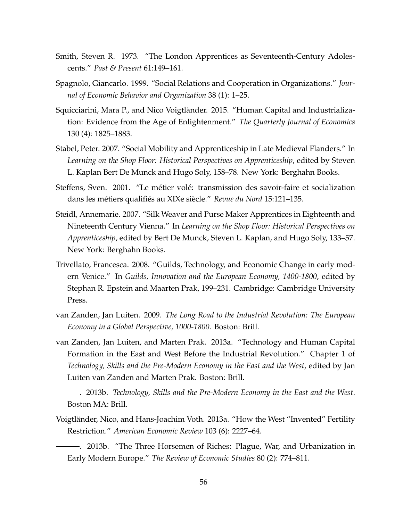- Smith, Steven R. 1973. "The London Apprentices as Seventeenth-Century Adolescents." *Past & Present* 61:149–161.
- Spagnolo, Giancarlo. 1999. "Social Relations and Cooperation in Organizations." *Journal of Economic Behavior and Organization* 38 (1): 1–25.
- Squicciarini, Mara P., and Nico Voigtlander. 2015. "Human Capital and Industrializa- ¨ tion: Evidence from the Age of Enlightenment." *The Quarterly Journal of Economics* 130 (4): 1825–1883.
- Stabel, Peter. 2007. "Social Mobility and Apprenticeship in Late Medieval Flanders." In *Learning on the Shop Floor: Historical Perspectives on Apprenticeship*, edited by Steven L. Kaplan Bert De Munck and Hugo Soly, 158–78. New York: Berghahn Books.
- Steffens, Sven. 2001. "Le métier volé: transmission des savoir-faire et socialization dans les métiers qualifiés au XIXe siècle." *Revue du Nord* 15:121–135.
- Steidl, Annemarie. 2007. "Silk Weaver and Purse Maker Apprentices in Eighteenth and Nineteenth Century Vienna." In *Learning on the Shop Floor: Historical Perspectives on Apprenticeship*, edited by Bert De Munck, Steven L. Kaplan, and Hugo Soly, 133–57. New York: Berghahn Books.
- Trivellato, Francesca. 2008. "Guilds, Technology, and Economic Change in early modern Venice." In *Guilds, Innovation and the European Economy, 1400-1800*, edited by Stephan R. Epstein and Maarten Prak, 199–231. Cambridge: Cambridge University Press.
- van Zanden, Jan Luiten. 2009. *The Long Road to the Industrial Revolution: The European Economy in a Global Perspective, 1000-1800*. Boston: Brill.
- van Zanden, Jan Luiten, and Marten Prak. 2013a. "Technology and Human Capital Formation in the East and West Before the Industrial Revolution." Chapter 1 of *Technology, Skills and the Pre-Modern Economy in the East and the West*, edited by Jan Luiten van Zanden and Marten Prak. Boston: Brill.

. 2013b. *Technology, Skills and the Pre-Modern Economy in the East and the West*. Boston MA: Brill.

- Voigtländer, Nico, and Hans-Joachim Voth. 2013a. "How the West "Invented" Fertility Restriction." *American Economic Review* 103 (6): 2227–64.
	- . 2013b. "The Three Horsemen of Riches: Plague, War, and Urbanization in Early Modern Europe." *The Review of Economic Studies* 80 (2): 774–811.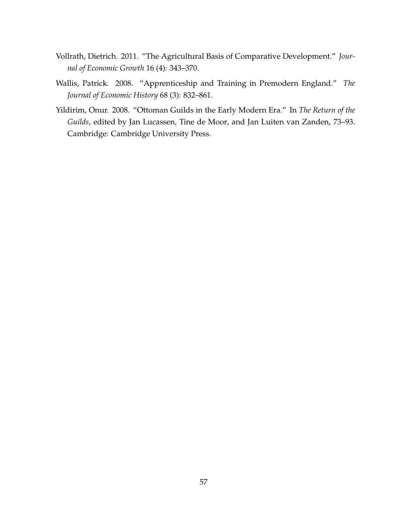- Vollrath, Dietrich. 2011. "The Agricultural Basis of Comparative Development." *Journal of Economic Growth* 16 (4): 343–370.
- Wallis, Patrick. 2008. "Apprenticeship and Training in Premodern England." *The Journal of Economic History* 68 (3): 832–861.
- Yildirim, Onur. 2008. "Ottoman Guilds in the Early Modern Era." In *The Return of the Guilds*, edited by Jan Lucassen, Tine de Moor, and Jan Luiten van Zanden, 73–93. Cambridge: Cambridge University Press.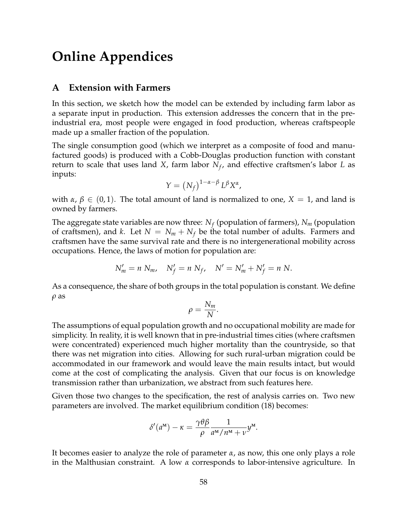# **Online Appendices**

## **A Extension with Farmers**

In this section, we sketch how the model can be extended by including farm labor as a separate input in production. This extension addresses the concern that in the preindustrial era, most people were engaged in food production, whereas craftspeople made up a smaller fraction of the population.

The single consumption good (which we interpret as a composite of food and manufactured goods) is produced with a Cobb-Douglas production function with constant return to scale that uses land *X*, farm labor *N<sup>f</sup>* , and effective craftsmen's labor *L* as inputs:

$$
Y = (N_f)^{1-\alpha-\beta} L^{\beta} X^{\alpha},
$$

with  $\alpha$ ,  $\beta \in (0,1)$ . The total amount of land is normalized to one,  $X = 1$ , and land is owned by farmers.

The aggregate state variables are now three:  $N_f$  (population of farmers),  $N_m$  (population of craftsmen), and *k*. Let  $N = N_m + N_f$  be the total number of adults. Farmers and craftsmen have the same survival rate and there is no intergenerational mobility across occupations. Hence, the laws of motion for population are:

$$
N'_m = n N_m
$$
,  $N'_f = n N_f$ ,  $N' = N'_m + N'_f = n N$ .

As a consequence, the share of both groups in the total population is constant. We define *ρ* as

$$
\rho=\frac{N_m}{N}.
$$

The assumptions of equal population growth and no occupational mobility are made for simplicity. In reality, it is well known that in pre-industrial times cities (where craftsmen were concentrated) experienced much higher mortality than the countryside, so that there was net migration into cities. Allowing for such rural-urban migration could be accommodated in our framework and would leave the main results intact, but would come at the cost of complicating the analysis. Given that our focus is on knowledge transmission rather than urbanization, we abstract from such features here.

Given those two changes to the specification, the rest of analysis carries on. Two new parameters are involved. The market equilibrium condition (18) becomes:

$$
\delta'(a^{\mathbf{M}}) - \kappa = \frac{\gamma \theta \beta}{\rho} \frac{1}{a^{\mathbf{M}}/n^{\mathbf{M}} + \nu} y^{\mathbf{M}}.
$$

It becomes easier to analyze the role of parameter *α*, as now, this one only plays a role in the Malthusian constraint. A low *α* corresponds to labor-intensive agriculture. In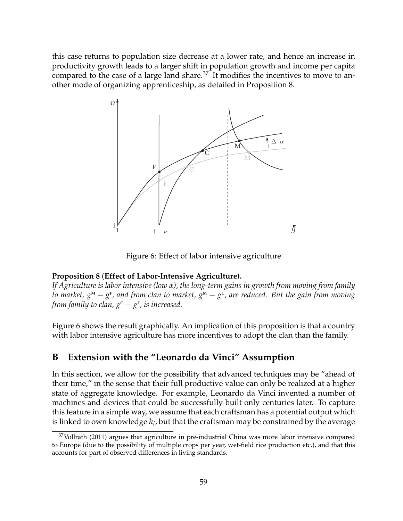this case returns to population size decrease at a lower rate, and hence an increase in productivity growth leads to a larger shift in population growth and income per capita compared to the case of a large land share.<sup>37</sup> It modifies the incentives to move to another mode of organizing apprenticeship, as detailed in Proposition 8.



Figure 6: Effect of labor intensive agriculture

### **Proposition 8** (**Effect of Labor-Intensive Agriculture).**

*If Agriculture is labor intensive (low α), the long-term gains in growth from moving from family*  $t$ o market,  $g^M - g^F$ , and from clan to market,  $g^M - g^C$ , are reduced. But the gain from moving *from family to clan,*  $g^c - g^r$ *, is increased.* 

Figure 6 shows the result graphically. An implication of this proposition is that a country with labor intensive agriculture has more incentives to adopt the clan than the family.

# **B Extension with the "Leonardo da Vinci" Assumption**

In this section, we allow for the possibility that advanced techniques may be "ahead of their time," in the sense that their full productive value can only be realized at a higher state of aggregate knowledge. For example, Leonardo da Vinci invented a number of machines and devices that could be successfully built only centuries later. To capture this feature in a simple way, we assume that each craftsman has a potential output which is linked to own knowledge  $h_i$ , but that the craftsman may be constrained by the average

 $37$ Vollrath (2011) argues that agriculture in pre-industrial China was more labor intensive compared to Europe (due to the possibility of multiple crops per year, wet-field rice production etc.), and that this accounts for part of observed differences in living standards.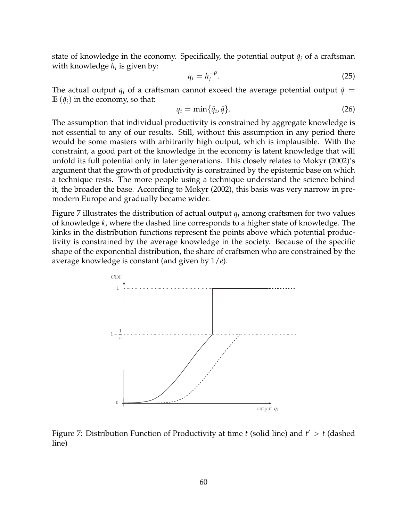state of knowledge in the economy. Specifically, the potential output  $\bar{q}_i$  of a craftsman with knowledge *h<sup>i</sup>* is given by:

$$
\bar{q}_i = h_i^{-\theta}.\tag{25}
$$

The actual output  $q_i$  of a craftsman cannot exceed the average potential output  $\bar{q}$  =  $\mathbb{E}(\bar{q}_i)$  in the economy, so that:

$$
q_i = \min\{\bar{q}_i, \bar{q}\}.
$$
\n(26)

The assumption that individual productivity is constrained by aggregate knowledge is not essential to any of our results. Still, without this assumption in any period there would be some masters with arbitrarily high output, which is implausible. With the constraint, a good part of the knowledge in the economy is latent knowledge that will unfold its full potential only in later generations. This closely relates to Mokyr (2002)'s argument that the growth of productivity is constrained by the epistemic base on which a technique rests. The more people using a technique understand the science behind it, the broader the base. According to Mokyr (2002), this basis was very narrow in premodern Europe and gradually became wider.

Figure 7 illustrates the distribution of actual output *q<sup>i</sup>* among craftsmen for two values of knowledge *k*, where the dashed line corresponds to a higher state of knowledge. The kinks in the distribution functions represent the points above which potential productivity is constrained by the average knowledge in the society. Because of the specific shape of the exponential distribution, the share of craftsmen who are constrained by the average knowledge is constant (and given by 1/*e*).



Figure 7: Distribution Function of Productivity at time *t* (solid line) and *t ′ > t* (dashed line)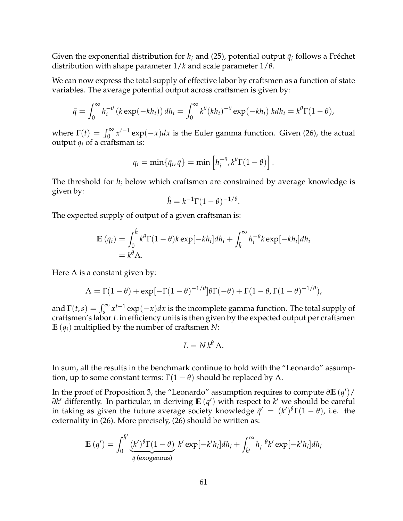Given the exponential distribution for  $h_i$  and (25), potential output  $\bar{q}_i$  follows a Fréchet distribution with shape parameter 1/*k* and scale parameter 1/*θ*.

We can now express the total supply of effective labor by craftsmen as a function of state variables. The average potential output across craftsmen is given by:

$$
\bar{q} = \int_0^\infty h_i^{-\theta} (k \exp(-kh_i)) dh_i = \int_0^\infty k^{\theta} (kh_i)^{-\theta} \exp(-kh_i) k dh_i = k^{\theta} \Gamma(1-\theta),
$$

where  $\Gamma(t) = \int_0^\infty x^{t-1} \exp(-x) dx$  is the Euler gamma function. Given (26), the actual output  $q_i$  of a craftsman is:

$$
q_i = \min\{\bar{q}_i, \bar{q}\} = \min\left[h_i^{-\theta}, k^{\theta}\Gamma(1-\theta)\right].
$$

The threshold for *h<sup>i</sup>* below which craftsmen are constrained by average knowledge is given by:

$$
\hat{h} = k^{-1} \Gamma(1 - \theta)^{-1/\theta}.
$$

The expected supply of output of a given craftsman is:

$$
\mathbb{E}(q_i) = \int_0^{\hat{h}} k^{\theta} \Gamma(1-\theta) k \exp[-kh_i] dh_i + \int_{\hat{h}}^{\infty} h_i^{-\theta} k \exp[-kh_i] dh_i
$$
  
=  $k^{\theta} \Lambda$ .

Here  $\Lambda$  is a constant given by:

$$
\Lambda = \Gamma(1-\theta) + \exp[-\Gamma(1-\theta)^{-1/\theta}]\theta\Gamma(-\theta) + \Gamma(1-\theta,\Gamma(1-\theta)^{-1/\theta}),
$$

and  $\Gamma(t,s) = \int_s^\infty x^{t-1} \exp(-x) dx$  is the incomplete gamma function. The total supply of craftsmen's labor *L* in efficiency units is then given by the expected output per craftsmen **E** (*qi*) multiplied by the number of craftsmen *N*:

$$
L=Nk^{\theta}\Lambda.
$$

In sum, all the results in the benchmark continue to hold with the "Leonardo" assumption, up to some constant terms:  $\Gamma(1 - \theta)$  should be replaced by Λ.

In the proof of Proposition 3, the "Leonardo" assumption requires to compute *∂***E** (*q ′* )/ *∂k ′* differently. In particular, in deriving **E** (*q ′* ) with respect to *k ′* we should be careful in taking as given the future average society knowledge  $\bar{q}' = (k')^{\theta} \Gamma(1 - \theta)$ , i.e. the externality in (26). More precisely, (26) should be written as:

$$
\mathbb{E}(q') = \int_0^{\hat{h}'} \underbrace{(k')^\theta \Gamma(1-\theta)}_{\bar{q} \text{ (exogenous)}} k' \exp[-k'h_i] dh_i + \int_{\hat{h}'}^\infty h_i^{-\theta} k' \exp[-k'h_i] dh_i
$$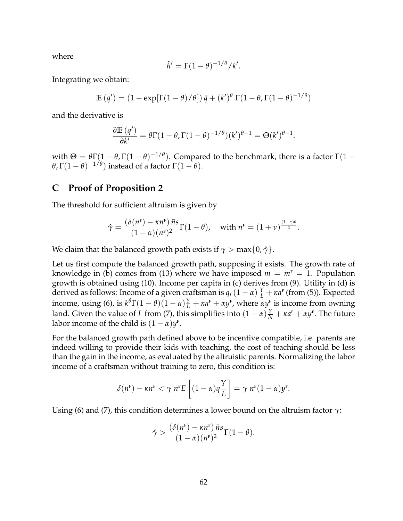where

$$
\hat{h}' = \Gamma(1-\theta)^{-1/\theta}/k'.
$$

Integrating we obtain:

$$
\mathbb{E} (q') = (1 - \exp[\Gamma(1 - \theta)/\theta]) \bar{q} + (k')^{\theta} \Gamma(1 - \theta, \Gamma(1 - \theta)^{-1/\theta})
$$

and the derivative is

$$
\frac{\partial \mathbb{E}(q')}{\partial k'} = \theta \Gamma(1-\theta, \Gamma(1-\theta)^{-1/\theta})(k')^{\theta-1} = \Theta(k')^{\theta-1}.
$$

 $\theta = \theta \Gamma(1 - \theta, \Gamma(1 - \theta)^{-1/\theta})$ . Compared to the benchmark, there is a factor Γ(1 −  $θ$ , Γ(1 −  $θ$ )<sup>-1/ $θ$ </sup>) instead of a factor Γ(1 −  $θ$ ).

# **C Proof of Proposition 2**

The threshold for sufficient altruism is given by

$$
\hat{\gamma} = \frac{(\delta(n^{\mathrm{F}}) - \kappa n^{\mathrm{F}}) \bar{n} s}{(1 - \alpha)(n^{\mathrm{F}})^2} \Gamma(1 - \theta), \quad \text{with } n^{\mathrm{F}} = (1 + \nu)^{\frac{(1 - \alpha)\theta}{\alpha}}.
$$

We claim that the balanced growth path exists if  $\gamma$  > max $\{0, \hat{\gamma}\}.$ 

Let us first compute the balanced growth path, supposing it exists. The growth rate of knowledge in (b) comes from (13) where we have imposed  $m = m<sup>F</sup> = 1$ . Population growth is obtained using (10). Income per capita in (c) derives from (9). Utility in (d) is derived as follows: Income of a given craftsman is  $q_i (1 - \alpha) \frac{Y}{L} + \kappa a^F$  (from (5)). Expected income, using (6), is  $k^{\theta} \Gamma(1-\theta)(1-\alpha)\frac{\gamma}{L} + \kappa a^{\text{F}} + \alpha y^{\text{F}}$ , where  $\alpha y^{\text{F}}$  is income from owning land. Given the value of *L* from (7), this simplifies into  $(1 - \alpha) \frac{Y}{N} + \kappa a^F + \alpha y^F$ . The future labor income of the child is  $(1 - \alpha)y^F$ .

For the balanced growth path defined above to be incentive compatible, i.e. parents are indeed willing to provide their kids with teaching, the cost of teaching should be less than the gain in the income, as evaluated by the altruistic parents. Normalizing the labor income of a craftsman without training to zero, this condition is:

$$
\delta(n^{\mathsf{F}}) - \kappa n^{\mathsf{F}} < \gamma n^{\mathsf{F}} E\left[ (1-\alpha) q \frac{\gamma}{L} \right] = \gamma n^{\mathsf{F}} (1-\alpha) y^{\mathsf{F}}.
$$

Using (6) and (7), this condition determines a lower bound on the altruism factor *γ*:

$$
\hat{\gamma} > \frac{(\delta(n^{\mathsf{F}}) - \kappa n^{\mathsf{F}}) \bar{n} s}{(1 - \alpha)(n^{\mathsf{F}})^2} \Gamma(1 - \theta).
$$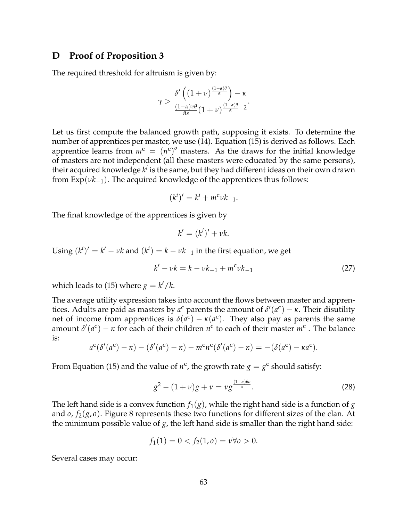## **D Proof of Proposition 3**

The required threshold for altruism is given by:

$$
\gamma > \frac{\delta'\left((1+\nu)^{\frac{(1-\alpha)\theta}{\alpha}}\right)-\kappa}{\frac{(1-\alpha)\nu\theta}{\bar{n}s}(1+\nu)^{\frac{(1-\alpha)\theta}{\alpha}-2}}.
$$

Let us first compute the balanced growth path, supposing it exists. To determine the number of apprentices per master, we use (14). Equation (15) is derived as follows. Each apprentice learns from  $m^c = (n^c)^o$  masters. As the draws for the initial knowledge of masters are not independent (all these masters were educated by the same persons), their acquired knowledge  $k^i$  is the same, but they had different ideas on their own drawn from Exp(*νk−*1). The acquired knowledge of the apprentices thus follows:

$$
(k^i)' = k^i + m^c v k_{-1}.
$$

The final knowledge of the apprentices is given by

$$
k'=(k^i)' + \nu k.
$$

Using  $(k^i)' = k' - vk$  and  $(k^i) = k - vk_{-1}$  in the first equation, we get

$$
k' - \nu k = k - \nu k_{-1} + m^c \nu k_{-1}
$$
\n(27)

which leads to (15) where  $g = k'/k$ .

The average utility expression takes into account the flows between master and apprentices. Adults are paid as masters by  $a^c$  parents the amount of  $\delta'(a^c) - \kappa$ . Their disutility net of income from apprentices is  $\delta(a^c) - \kappa(a^c)$ . They also pay as parents the same amount  $\delta'(a^c) - \kappa$  for each of their children  $n^c$  to each of their master  $m^c$ . The balance is:

$$
a^{c}(\delta'(a^{c}) - \kappa) - (\delta'(a^{c}) - \kappa) - m^{c}n^{c}(\delta'(a^{c}) - \kappa) = -(\delta(a^{c}) - \kappa a^{c}).
$$

From Equation (15) and the value of  $n^c$ , the growth rate  $g = g^c$  should satisfy:

$$
g^{2} - (1 + \nu)g + \nu = \nu g^{\frac{(1 - \alpha)\theta_{0}}{\alpha}}.
$$
 (28)

The left hand side is a convex function  $f_1(g)$ , while the right hand side is a function of *g* and *o*,  $f_2(g, o)$ . Figure 8 represents these two functions for different sizes of the clan. At the minimum possible value of *g*, the left hand side is smaller than the right hand side:

$$
f_1(1) = 0 < f_2(1, o) = \nu \forall o > 0.
$$

Several cases may occur: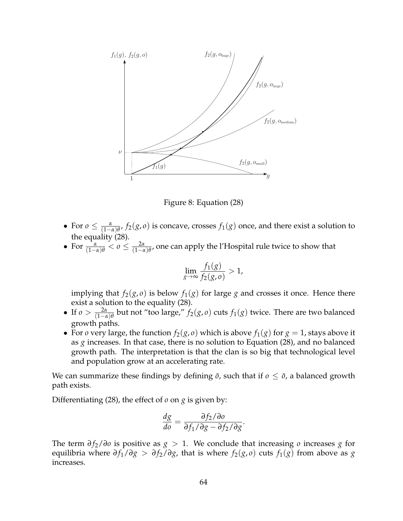

Figure 8: Equation (28)

- *•* For  $o \leq \frac{\alpha}{(1-\alpha)\theta}$ ,  $f_2(g,o)$  is concave, crosses  $f_1(g)$  once, and there exist a solution to the equality (28).
- *•* For  $\frac{a}{(1-a)\theta}$  *< o* ≤  $\frac{2a}{(1-a)\theta}$ , one can apply the l'Hospital rule twice to show that

$$
\lim_{g\to\infty}\frac{f_1(g)}{f_2(g,o)}>1,
$$

implying that  $f_2(g, o)$  is below  $f_1(g)$  for large *g* and crosses it once. Hence there exist a solution to the equality (28).

- *•* If  $o > \frac{2\alpha}{(1-\alpha)\theta}$  but not "too large,"  $f_2(g,o)$  cuts  $f_1(g)$  twice. There are two balanced growth paths.
- For *o* very large, the function  $f_2(g, o)$  which is above  $f_1(g)$  for  $g = 1$ , stays above it as *g* increases. In that case, there is no solution to Equation (28), and no balanced growth path. The interpretation is that the clan is so big that technological level and population grow at an accelerating rate.

We can summarize these findings by defining  $\bar{\sigma}$ , such that if  $o \leq \bar{o}$ , a balanced growth path exists.

Differentiating (28), the effect of *o* on *g* is given by:

$$
\frac{dg}{do} = \frac{\partial f_2/\partial o}{\partial f_1/\partial g - \partial f_2/\partial g}.
$$

The term  $\partial f_2 / \partial o$  is positive as  $g > 1$ . We conclude that increasing *o* increases *g* for equilibria where  $\partial f_1/\partial g > \partial f_2/\partial g$ , that is where  $f_2(g, o)$  cuts  $f_1(g)$  from above as *g* increases.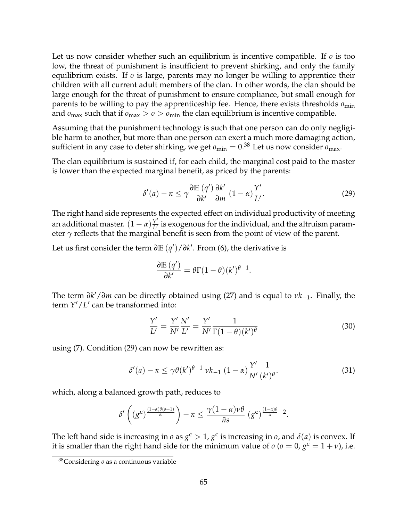Let us now consider whether such an equilibrium is incentive compatible. If *o* is too low, the threat of punishment is insufficient to prevent shirking, and only the family equilibrium exists. If *o* is large, parents may no longer be willing to apprentice their children with all current adult members of the clan. In other words, the clan should be large enough for the threat of punishment to ensure compliance, but small enough for parents to be willing to pay the apprenticeship fee. Hence, there exists thresholds *o*min and  $o_{\text{max}}$  such that if  $o_{\text{max}} > o > o_{\text{min}}$  the clan equilibrium is incentive compatible.

Assuming that the punishment technology is such that one person can do only negligible harm to another, but more than one person can exert a much more damaging action, sufficient in any case to deter shirking, we get  $o_{\text{min}} = 0.38$  Let us now consider  $o_{\text{max}}$ .

The clan equilibrium is sustained if, for each child, the marginal cost paid to the master is lower than the expected marginal benefit, as priced by the parents:

$$
\delta'(a) - \kappa \le \gamma \frac{\partial \mathbb{E}(q')}{\partial k'} \frac{\partial k'}{\partial m} (1 - \alpha) \frac{\gamma'}{L'}.
$$
 (29)

The right hand side represents the expected effect on individual productivity of meeting an additional master.  $(1 - \alpha) \frac{Y'}{I'}$  $\frac{I}{L'}$  is exogenous for the individual, and the altruism parameter  $\gamma$  reflects that the marginal benefit is seen from the point of view of the parent.

Let us first consider the term *∂***E** (*q ′* )/*∂k ′* . From (6), the derivative is

$$
\frac{\partial \mathbb{E}(q')}{\partial k'} = \theta \Gamma(1-\theta)(k')^{\theta-1}.
$$

The term *∂k ′*/*∂m* can be directly obtained using (27) and is equal to *νk−*1. Finally, the term *Y ′*/*L ′* can be transformed into:

$$
\frac{Y'}{L'} = \frac{Y'}{N'} \frac{N'}{L'} = \frac{Y'}{N'} \frac{1}{\Gamma(1-\theta)(k')^\theta}
$$
(30)

using (7). Condition (29) can now be rewritten as:

$$
\delta'(a) - \kappa \le \gamma \theta(k')^{\theta - 1} \nu k_{-1} (1 - \alpha) \frac{\gamma'}{N'} \frac{1}{(k')^{\theta}}.
$$
 (31)

which, along a balanced growth path, reduces to

$$
\delta'\left((g^c)^{\frac{(1-\alpha)\theta(o+1)}{\alpha}}\right)-\kappa\leq \frac{\gamma(1-\alpha)\nu \theta}{\bar ns} \ (g^c)^{\frac{(1-\alpha)\theta}{\alpha}-2}.
$$

The left hand side is increasing in  $o$  as  $g^c > 1$ ,  $g^c$  is increasing in  $o$ , and  $\delta(a)$  is convex. If it is smaller than the right hand side for the minimum value of  $o$  ( $o = 0$ ,  $g<sup>c</sup> = 1 + v$ ), i.e.

<sup>38</sup>Considering *o* as a continuous variable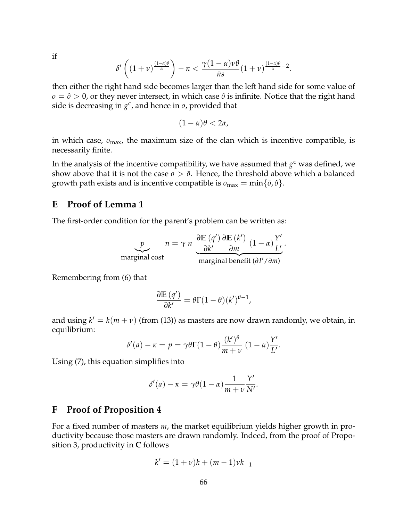if

$$
\delta'\left((1+\nu)^{\frac{(1-\alpha)\theta}{\alpha}}\right)-\kappa<\frac{\gamma(1-\alpha)\nu\theta}{\bar{n} s}(1+\nu)^{\frac{(1-\alpha)\theta}{\alpha}-2}.
$$

then either the right hand side becomes larger than the left hand side for some value of  $\rho = \hat{\rho} > 0$ , or they never intersect, in which case  $\hat{\rho}$  is infinite. Notice that the right hand side is decreasing in *g* **C** , and hence in *o*, provided that

$$
(1-\alpha)\theta<2\alpha,
$$

in which case, *o*max, the maximum size of the clan which is incentive compatible, is necessarily finite.

In the analysis of the incentive compatibility, we have assumed that  $g^{\text{c}}$  was defined, we show above that it is not the case  $\rho > \bar{\rho}$ . Hence, the threshold above which a balanced growth path exists and is incentive compatible is  $o_{\text{max}} = \min\{\bar{o}, \hat{o}\}.$ 

### **E Proof of Lemma 1**

The first-order condition for the parent's problem can be written as:

$$
p \qquad n = \gamma \ n \underbrace{\frac{\partial \mathbb{E}(q')}{\partial k'} \frac{\partial \mathbb{E}(k')}{\partial m} (1 - \alpha) \frac{Y'}{L'}}_{\text{marginal benefit } (\partial I'/\partial m)}.
$$

Remembering from (6) that

$$
\frac{\partial \mathbb{E}(q')}{\partial k'} = \theta \Gamma(1-\theta)(k')^{\theta-1},
$$

and using  $k' = k(m + v)$  (from (13)) as masters are now drawn randomly, we obtain, in equilibrium:

$$
\delta'(a) - \kappa = p = \gamma \theta \Gamma(1 - \theta) \frac{(k')^{\theta}}{m + \nu} (1 - \alpha) \frac{Y'}{L'}.
$$

Using (7), this equation simplifies into

$$
\delta'(a) - \kappa = \gamma \theta (1 - \alpha) \frac{1}{m + \nu} \frac{\Upsilon'}{N'}.
$$

## **F Proof of Proposition 4**

For a fixed number of masters *m*, the market equilibrium yields higher growth in productivity because those masters are drawn randomly. Indeed, from the proof of Proposition 3, productivity in **C** follows

$$
k' = (1 + \nu)k + (m - 1)\nu k_{-1}
$$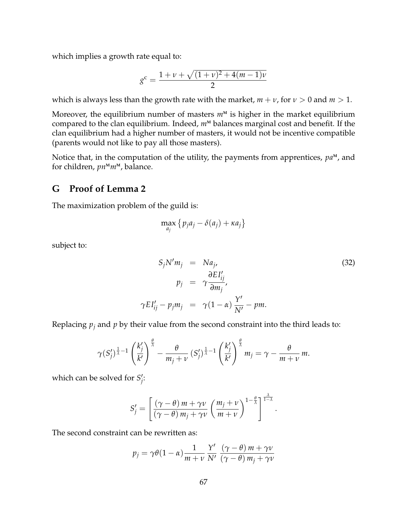which implies a growth rate equal to:

$$
g^{c} = \frac{1 + \nu + \sqrt{(1 + \nu)^{2} + 4(m - 1)\nu}}{2}
$$

which is always less than the growth rate with the market,  $m + \nu$ , for  $\nu > 0$  and  $m > 1$ .

Moreover, the equilibrium number of masters  $m<sup>M</sup>$  is higher in the market equilibrium compared to the clan equilibrium. Indeed,  $m<sup>M</sup>$  balances marginal cost and benefit. If the clan equilibrium had a higher number of masters, it would not be incentive compatible (parents would not like to pay all those masters).

Notice that, in the computation of the utility, the payments from apprentices,  $pa^M$ , and for children,  $pn^Mm^M$ , balance.

# **G Proof of Lemma 2**

The maximization problem of the guild is:

$$
\max_{a_j} \left\{ p_j a_j - \delta(a_j) + \kappa a_j \right\}
$$

subject to:

$$
S_j N'm_j = Na_j,
$$
  
\n
$$
p_j = \gamma \frac{\partial EI'_{ij}}{\partial m_j},
$$
  
\n
$$
\gamma EI'_{ij} - p_j m_j = \gamma (1 - \alpha) \frac{Y'}{N'} - pm.
$$
\n(32)

.

Replacing  $p_j$  and  $p$  by their value from the second constraint into the third leads to:

$$
\gamma(S'_j)^{\frac{1}{\lambda}-1}\left(\frac{k'_j}{k'}\right)^{\frac{\theta}{\lambda}}-\frac{\theta}{m_j+\nu}(S'_j)^{\frac{1}{\lambda}-1}\left(\frac{k'_j}{k'}\right)^{\frac{\theta}{\lambda}}m_j=\gamma-\frac{\theta}{m+\nu}m.
$$

which can be solved for *S ′ j* :

$$
S'_{j} = \left[ \frac{(\gamma - \theta) m + \gamma \nu}{(\gamma - \theta) m_{j} + \gamma \nu} \left( \frac{m_{j} + \nu}{m + \nu} \right)^{1 - \frac{\theta}{\lambda}} \right]^{\frac{\lambda}{1 - \lambda}}
$$

The second constraint can be rewritten as:

$$
p_j = \gamma \theta (1 - \alpha) \frac{1}{m + \nu} \frac{Y'}{N'} \frac{(\gamma - \theta) m + \gamma \nu}{(\gamma - \theta) m_j + \gamma \nu}
$$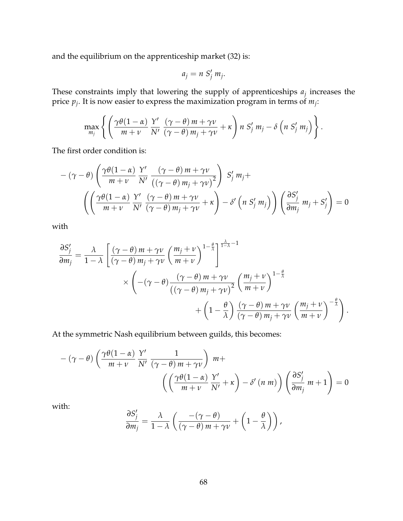and the equilibrium on the apprenticeship market (32) is:

$$
a_j = n S'_j m_j.
$$

These constraints imply that lowering the supply of apprenticeships *a<sup>j</sup>* increases the price *p<sup>j</sup>* . It is now easier to express the maximization program in terms of *m<sup>j</sup>* :

$$
\max_{m_j} \left\{ \left( \frac{\gamma \theta (1-\alpha)}{m+\nu} \frac{\Upsilon'}{N'} \frac{(\gamma-\theta) m + \gamma \nu}{(\gamma-\theta) m_j + \gamma \nu} + \kappa \right) n S'_j m_j - \delta \left( n S'_j m_j \right) \right\}.
$$

The first order condition is:

$$
-(\gamma - \theta) \left( \frac{\gamma \theta (1 - \alpha)}{m + \nu} \frac{\gamma'}{N'} \frac{(\gamma - \theta) m + \gamma \nu}{((\gamma - \theta) m_j + \gamma \nu)^2} \right) S'_j m_j + \left( \left( \frac{\gamma \theta (1 - \alpha)}{m + \nu} \frac{\gamma'}{N'} \frac{(\gamma - \theta) m + \gamma \nu}{(\gamma - \theta) m_j + \gamma \nu} + \kappa \right) - \delta' \left( n S'_j m_j \right) \right) \left( \frac{\partial S'_j}{\partial m_j} m_j + S'_j \right) = 0
$$

with

$$
\frac{\partial S'_{j}}{\partial m_{j}} = \frac{\lambda}{1 - \lambda} \left[ \frac{(\gamma - \theta) m + \gamma \nu}{(\gamma - \theta) m_{j} + \gamma \nu} \left( \frac{m_{j} + \nu}{m + \nu} \right)^{1 - \frac{\theta}{\lambda}} \right]^{\frac{\lambda}{1 - \lambda} - 1} \times \left( -(\gamma - \theta) \frac{(\gamma - \theta) m + \gamma \nu}{((\gamma - \theta) m_{j} + \gamma \nu)^{2}} \left( \frac{m_{j} + \nu}{m + \nu} \right)^{1 - \frac{\theta}{\lambda}} + \left( 1 - \frac{\theta}{\lambda} \right) \frac{(\gamma - \theta) m + \gamma \nu}{(\gamma - \theta) m_{j} + \gamma \nu} \left( \frac{m_{j} + \nu}{m + \nu} \right)^{-\frac{\theta}{\lambda}} \right).
$$

At the symmetric Nash equilibrium between guilds, this becomes:

$$
-(\gamma - \theta) \left( \frac{\gamma \theta (1 - \alpha)}{m + \nu} \frac{\gamma'}{N'} \frac{1}{(\gamma - \theta) m + \gamma \nu} \right) m + \left( \left( \frac{\gamma \theta (1 - \alpha)}{m + \nu} \frac{\gamma'}{N'} + \kappa \right) - \delta' \left( n m \right) \right) \left( \frac{\partial S'_j}{\partial m_j} m + 1 \right) = 0
$$

with:

$$
\frac{\partial S_j'}{\partial m_j} = \frac{\lambda}{1-\lambda} \left( \frac{-(\gamma-\theta)}{(\gamma-\theta)m+\gamma\nu} + \left(1-\frac{\theta}{\lambda}\right) \right),
$$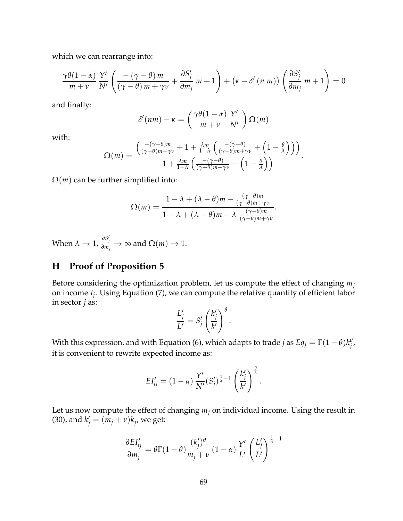which we can rearrange into:

$$
\frac{\gamma\theta(1-\alpha)}{m+\nu}\frac{\Upsilon'}{N'}\left(\frac{-(\gamma-\theta)m}{(\gamma-\theta)m+\gamma\nu}+\frac{\partial S'_{j}}{\partial m_{j}}m+1\right)+(\kappa-\delta'(n m))\left(\frac{\partial S'_{j}}{\partial m_{j}}m+1\right)=0
$$

and finally:

$$
\delta'(nm) - \kappa = \left(\frac{\gamma\theta(1-\alpha)}{m+\nu}\frac{\Upsilon'}{N'}\right)\Omega(m)
$$

with:

$$
\Omega(m) = \frac{\left(\frac{-(\gamma-\theta)m}{(\gamma-\theta)m+\gamma\nu} + 1 + \frac{\lambda m}{1-\lambda}\left(\frac{-(\gamma-\theta)}{(\gamma-\theta)m+\gamma\nu} + \left(1-\frac{\theta}{\lambda}\right)\right)\right)}{1 + \frac{\lambda m}{1-\lambda}\left(\frac{-(\gamma-\theta)}{(\gamma-\theta)m+\gamma\nu} + \left(1-\frac{\theta}{\lambda}\right)\right)}.
$$

 $\Omega(m)$  can be further simplified into:

$$
\Omega(m) = \frac{1 - \lambda + (\lambda - \theta)m - \frac{(\gamma - \theta)m}{(\gamma - \theta)m + \gamma\nu}}{1 - \lambda + (\lambda - \theta)m - \lambda \frac{(\gamma - \theta)m}{(\gamma - \theta)m + \gamma\nu}}.
$$

When  $\lambda \to 1$ ,  $\frac{\partial S'_j}{\partial m}$  $\frac{\partial P_j}{\partial m_j} \to \infty$  and  $\Omega(m) \to 1$ .

## **H Proof of Proposition 5**

Before considering the optimization problem, let us compute the effect of changing *m<sup>j</sup>* on income *I<sup>j</sup>* . Using Equation (7), we can compute the relative quantity of efficient labor in sector *j* as:

$$
\frac{L'_j}{L'} = S'_j \left(\frac{k'_j}{k'}\right)^{\theta}.
$$

With this expression, and with Equation (6), which adapts to trade *j* as  $Eq_j = \Gamma(1-\theta)k_j^{\theta}$ *j* , it is convenient to rewrite expected income as:

$$
EI'_{ij} = (1 - \alpha) \frac{Y'}{N'} (S'_j)^{\frac{1}{\lambda} - 1} \left(\frac{k'_j}{k'}\right)^{\frac{\theta}{\lambda}}.
$$

Let us now compute the effect of changing  $m_j$  on individual income. Using the result in (30), and  $k'_{j} = (m_{j} + v)k_{j}$ , we get:

$$
\frac{\partial EI'_{ij}}{\partial m_j} = \theta \Gamma(1-\theta) \frac{(k'_j)^{\theta}}{m_j + \nu} (1-\alpha) \frac{Y'}{L'} \left(\frac{L'_j}{L'}\right)^{\frac{1}{\lambda}-1}
$$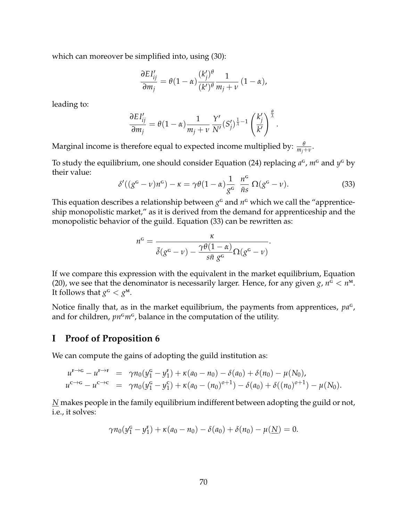which can moreover be simplified into, using (30):

$$
\frac{\partial EI'_{ij}}{\partial m_j} = \theta(1-\alpha)\frac{(k'_j)^{\theta}}{(k')^{\theta}}\frac{1}{m_j+\nu}(1-\alpha),
$$

leading to:

$$
\frac{\partial EI'_{ij}}{\partial m_j} = \theta(1-\alpha) \frac{1}{m_j + \nu} \frac{\Upsilon'}{N'} (S'_j)^{\frac{1}{\lambda}-1} \left(\frac{k'_j}{k'}\right)^{\frac{\theta}{\lambda}}.
$$

Marginal income is therefore equal to expected income multiplied by:  $\frac{\theta}{m_j+\nu}$ .

To study the equilibrium, one should consider Equation (24) replacing  $a^{\text{c}}$ ,  $m^{\text{c}}$  and  $y^{\text{c}}$  by their value:

$$
\delta'((g^{\mathbf{G}}-\nu)n^{\mathbf{G}})-\kappa=\gamma\theta(1-\alpha)\frac{1}{g^{\mathbf{G}}}\frac{n^{\mathbf{G}}}{\bar{n}s}\Omega(g^{\mathbf{G}}-\nu).
$$
 (33)

This equation describes a relationship between  $g^{\text{c}}$  and  $n^{\text{c}}$  which we call the "apprenticeship monopolistic market," as it is derived from the demand for apprenticeship and the monopolistic behavior of the guild. Equation (33) can be rewritten as:

$$
n^{c} = \frac{\kappa}{\bar{\delta}(g^{c} - \nu) - \frac{\gamma \theta(1 - \alpha)}{s\bar{n} g^{c}} \Omega(g^{c} - \nu)}.
$$

If we compare this expression with the equivalent in the market equilibrium, Equation (20), we see that the denominator is necessarily larger. Hence, for any given  $g$ ,  $n<sup>g</sup> < n<sup>M</sup>$ . It follows that  $g^G < g^M$ .

Notice finally that, as in the market equilibrium, the payments from apprentices, pa<sup>c</sup>, and for children*, pn<sup>c</sup>m<sup>c</sup>,* balance in the computation of the utility.

## **I Proof of Proposition 6**

We can compute the gains of adopting the guild institution as:

$$
u^{F\to G} - u^{F\to F} = \gamma n_0 (y_1^G - y_1^F) + \kappa (a_0 - n_0) - \delta (a_0) + \delta (n_0) - \mu (N_0),
$$
  

$$
u^{C\to G} - u^{C\to C} = \gamma n_0 (y_1^G - y_1^C) + \kappa (a_0 - (n_0)^{o+1}) - \delta (a_0) + \delta ((n_0)^{o+1}) - \mu (N_0).
$$

*N* makes people in the family equilibrium indifferent between adopting the guild or not, i.e., it solves:

$$
\gamma n_0(y_1^{\mathsf{G}} - y_1^{\mathsf{F}}) + \kappa (a_0 - n_0) - \delta(a_0) + \delta(n_0) - \mu(\underline{N}) = 0.
$$